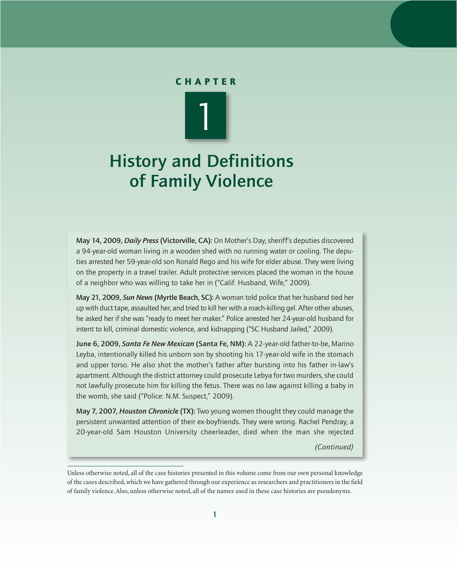### C H A P T E R

1

History and Definitions of Family Violence

May 14, 2009, *Daily Press* (Victorville, CA): On Mother's Day, sheriff's deputies discovered a 94-year-old woman living in a wooden shed with no running water or cooling. The deputies arrested her 59-year-old son Ronald Rego and his wife for elder abuse. They were living on the property in a travel trailer. Adult protective services placed the woman in the house of a neighbor who was willing to take her in ("Calif. Husband, Wife," 2009).

May 21, 2009, *Sun News* (Myrtle Beach, SC): A woman told police that her husband tied her up with duct tape, assaulted her, and tried to kill her with a roach-killing gel. After other abuses, he asked her if she was "ready to meet her maker." Police arrested her 24-year-old husband for intent to kill, criminal domestic violence, and kidnapping ("SC Husband Jailed," 2009).

June 6, 2009, *Santa Fe New Mexican* (Santa Fe, NM): A 22-year-old father-to-be, Marino Leyba, intentionally killed his unborn son by shooting his 17-year-old wife in the stomach and upper torso. He also shot the mother's father after bursting into his father in-law's apartment. Although the district attorney could prosecute Lebya for two murders, she could not lawfully prosecute him for killing the fetus. There was no law against killing a baby in the womb, she said ("Police: N.M. Suspect," 2009).

May 7, 2007, *Houston Chronicle* (TX): Two young women thought they could manage the persistent unwanted attention of their ex-boyfriends. They were wrong. Rachel Pendray, a 20-year-old Sam Houston University cheerleader, died when the man she rejected

*(Continued)*

Unless otherwise noted, all of the case histories presented in this volume come from our own personal knowledge of the cases described, which we have gathered through our experience as researchers and practitioners in the field of family violence. Also, unless otherwise noted, all of the names used in these case histories are pseudonyms.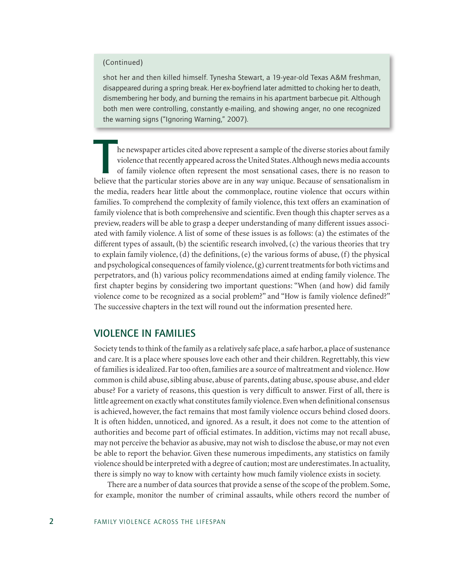#### (Continued)

shot her and then killed himself. Tynesha Stewart, a 19-year-old Texas A&M freshman, disappeared during a spring break. Her ex-boyfriend later admitted to choking her to death, dismembering her body, and burning the remains in his apartment barbecue pit. Although both men were controlling, constantly e-mailing, and showing anger, no one recognized the warning signs ("Ignoring Warning," 2007).

The newspaper articles cited above represent a sample of the diverse stories about family<br>violence that recently appeared across the United States. Although news media accounts<br>of family violence often represent the most s violence that recently appeared across the United States. Although news media accounts of family violence often represent the most sensational cases, there is no reason to believe that the particular stories above are in any way unique. Because of sensationalism in the media, readers hear little about the commonplace, routine violence that occurs within families. To comprehend the complexity of family violence, this text offers an examination of family violence that is both comprehensive and scientific. Even though this chapter serves as a preview, readers will be able to grasp a deeper understanding of many different issues associated with family violence. A list of some of these issues is as follows: (a) the estimates of the different types of assault, (b) the scientific research involved, (c) the various theories that try to explain family violence, (d) the definitions, (e) the various forms of abuse, (f) the physical and psychological consequences of family violence,  $(g)$  current treatments for both victims and perpetrators, and (h) various policy recommendations aimed at ending family violence. The first chapter begins by considering two important questions: "When (and how) did family violence come to be recognized as a social problem?" and "How is family violence defined?" The successive chapters in the text will round out the information presented here.

### VIOLENCE IN FAMILIES

Society tends to think of the family as a relatively safe place, a safe harbor, a place of sustenance and care. It is a place where spouses love each other and their children. Regrettably, this view of families is idealized. Far too often, families are a source of maltreatment and violence. How common is child abuse, sibling abuse, abuse of parents, dating abuse, spouse abuse, and elder abuse? For a variety of reasons, this question is very difficult to answer. First of all, there is little agreement on exactly what constitutes family violence. Even when definitional consensus is achieved, however, the fact remains that most family violence occurs behind closed doors. It is often hidden, unnoticed, and ignored. As a result, it does not come to the attention of authorities and become part of official estimates. In addition, victims may not recall abuse, may not perceive the behavior as abusive, may not wish to disclose the abuse, or may not even be able to report the behavior. Given these numerous impediments, any statistics on family violence should be interpreted with a degree of caution; most are underestimates. In actuality, there is simply no way to know with certainty how much family violence exists in society.

There are a number of data sources that provide a sense of the scope of the problem. Some, for example, monitor the number of criminal assaults, while others record the number of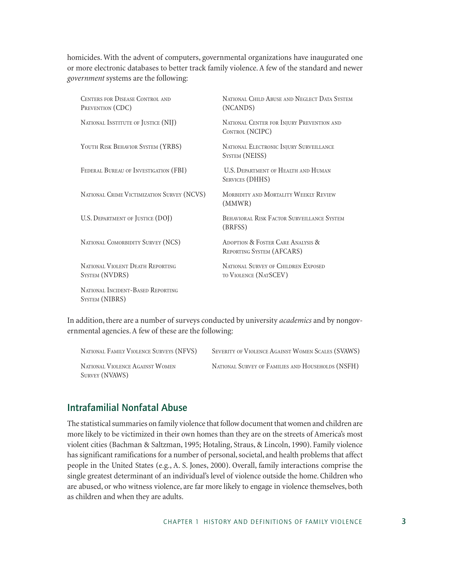homicides. With the advent of computers, governmental organizations have inaugurated one or more electronic databases to better track family violence. A few of the standard and newer *government* systems are the following:

| CENTERS FOR DISEASE CONTROL AND<br>PREVENTION (CDC) | NATIONAL CHILD ABUSE AND NEGLECT DATA SYSTEM<br>(NCANDS)              |
|-----------------------------------------------------|-----------------------------------------------------------------------|
| NATIONAL INSTITUTE OF JUSTICE (NIJ)                 | NATIONAL CENTER FOR INJURY PREVENTION AND<br>CONTROL (NCIPC)          |
| YOUTH RISK BEHAVIOR SYSTEM (YRBS)                   | NATIONAL ELECTRONIC INJURY SURVEILLANCE<br>SYSTEM (NEISS)             |
| FEDERAL BUREAU OF INVESTIGATION (FBI)               | <b>U.S. DEPARTMENT OF HEALTH AND HUMAN</b><br><b>SERVICES (DHHS)</b>  |
| NATIONAL CRIME VICTIMIZATION SURVEY (NCVS)          | MORBIDITY AND MORTALITY WEEKLY REVIEW<br>(MMWR)                       |
| U.S. DEPARTMENT OF JUSTICE (DOJ)                    | <b>BEHAVIORAL RISK FACTOR SURVEILLANCE SYSTEM</b><br>(BRFSS)          |
| NATIONAL COMORBIDITY SURVEY (NCS)                   | ADOPTION & FOSTER CARE ANALYSIS &<br><b>REPORTING SYSTEM (AFCARS)</b> |
| NATIONAL VIOLENT DEATH REPORTING<br>SYSTEM (NVDRS)  | <b>NATIONAL SURVEY OF CHILDREN EXPOSED</b><br>TO VIOLENCE (NATSCEV)   |
| NATIONAL INCIDENT-BASED REPORTING<br>SYSTEM (NIBRS) |                                                                       |

In addition, there are a number of surveys conducted by university *academics* and by nongovernmental agencies. A few of these are the following:

| NATIONAL FAMILY VIOLENCE SURVEYS (NFVS) | SEVERITY OF VIOLENCE AGAINST WOMEN SCALES (SVAWS) |
|-----------------------------------------|---------------------------------------------------|
| NATIONAL VIOLENCE AGAINST WOMEN         | NATIONAL SURVEY OF FAMILIES AND HOUSEHOLDS (NSFH) |
| SURVEY (NVAWS)                          |                                                   |

# Intrafamilial Nonfatal Abuse

The statistical summaries on family violence that follow document that women and children are more likely to be victimized in their own homes than they are on the streets of America's most violent cities (Bachman & Saltzman, 1995; Hotaling, Straus, & Lincoln, 1990). Family violence has significant ramifications for a number of personal, societal, and health problems that affect people in the United States (e.g., A. S. Jones, 2000). Overall, family interactions comprise the single greatest determinant of an individual's level of violence outside the home. Children who are abused, or who witness violence, are far more likely to engage in violence themselves, both as children and when they are adults.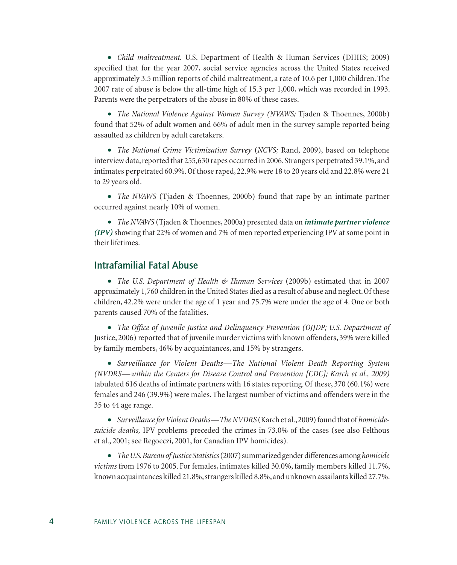• *Child maltreatment.* U.S. Department of Health & Human Services (DHHS; 2009) specified that for the year 2007, social service agencies across the United States received approximately 3.5 million reports of child maltreatment, a rate of 10.6 per 1,000 children. The 2007 rate of abuse is below the all-time high of 15.3 per 1,000, which was recorded in 1993. Parents were the perpetrators of the abuse in 80% of these cases.

• *The National Violence Against Women Survey (NVAWS; Taden & Thoennes, 2000b)* found that 52% of adult women and 66% of adult men in the survey sample reported being assaulted as children by adult caretakers.

• *The National Crime Victimization Survey* (*NCVS*; Rand, 2009), based on telephone interview data, reported that 255,630 rapes occurred in 2006. Strangers perpetrated 39.1%, and intimates perpetrated 60.9%. Of those raped, 22.9% were 18 to 20 years old and 22.8% were 21 to 29 years old.

• *The NVAWS* (Tjaden & Thoennes, 2000b) found that rape by an intimate partner occurred against nearly 10% of women.

• *The NVAWS* (Tjaden & Thoennes, 2000a) presented data on *intimate partner violence (IPV)*showing that 22% of women and 7% of men reported experiencing IPV at some point in their lifetimes.

## Intrafamilial Fatal Abuse

• *The U.S. Department of Health & Human Services* (2009b) estimated that in 2007 approximately 1,760 children in the United States died as a result of abuse and neglect. Of these children, 42.2% were under the age of 1 year and 75.7% were under the age of 4. One or both parents caused 70% of the fatalities.

• *The Office of Juvenile Justice and Delinquency Prevention (OJJDP; U.S. Department of* Justice, 2006) reported that of juvenile murder victims with known offenders, 39% were killed by family members, 46% by acquaintances, and 15% by strangers.

• Surveillance for Violent Deaths—The National Violent Death Reporting System *(NVDRS—within the Centers for Disease Control and Prevention [CDC]; Karch et al., 2009)*  tabulated 616 deaths of intimate partners with 16 states reporting. Of these, 370 (60.1%) were females and 246 (39.9%) were males. The largest number of victims and offenders were in the 35 to 44 age range.

• *Surveillance for Violent Deaths—The NVDRS* (Karch et al., 2009) found that of *homicidesuicide deaths,* IPV problems preceded the crimes in 73.0% of the cases (see also Felthous et al., 2001; see Regoeczi, 2001, for Canadian IPV homicides).

• *The U.S. Bureau of Justice Statistics* (2007) summarized gender differences among *homicide victims* from 1976 to 2005. For females, intimates killed 30.0%, family members killed 11.7%, known acquaintances killed 21.8%, strangers killed 8.8%, and unknown assailants killed 27.7%.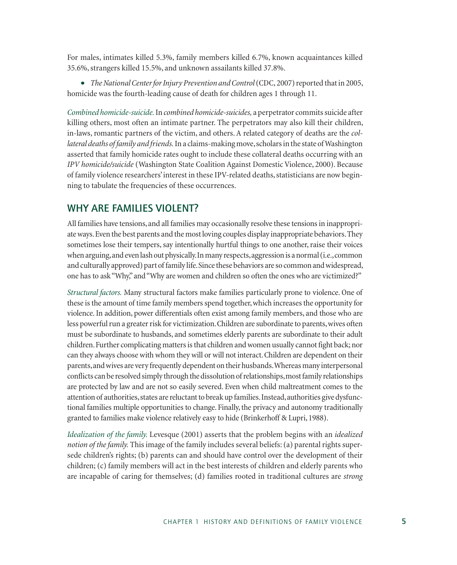For males, intimates killed 5.3%, family members killed 6.7%, known acquaintances killed 35.6%, strangers killed 15.5%, and unknown assailants killed 37.8%.

• *The National Center for Injury Prevention and Control* (CDC, 2007) reported that in 2005, homicide was the fourth-leading cause of death for children ages 1 through 11.

*Combined homicide-suicide.* In *combined homicide-suicides,* a perpetrator commits suicide after killing others, most often an intimate partner. The perpetrators may also kill their children, in-laws, romantic partners of the victim, and others. A related category of deaths are the *collateral deaths of family and friends.* In a claims-making move, scholars in the state of Washington asserted that family homicide rates ought to include these collateral deaths occurring with an *IPV homicide/suicide* (Washington State Coalition Against Domestic Violence, 2000). Because of family violence researchers' interest in these IPV-related deaths, statisticians are now beginning to tabulate the frequencies of these occurrences.

### WHY ARE FAMILIES VIOLENT?

All families have tensions, and all families may occasionally resolve these tensions in inappropriate ways. Even the best parents and the most loving couples display inappropriate behaviors. They sometimes lose their tempers, say intentionally hurtful things to one another, raise their voices when arguing, and even lash out physically. In many respects, aggression is a normal (i.e., common and culturally approved) part of family life. Since these behaviors are so common and widespread, one has to ask "Why," and "Why are women and children so often the ones who are victimized?"

*Structural factors.* Many structural factors make families particularly prone to violence. One of these is the amount of time family members spend together, which increases the opportunity for violence. In addition, power differentials often exist among family members, and those who are less powerful run a greater risk for victimization. Children are subordinate to parents, wives often must be subordinate to husbands, and sometimes elderly parents are subordinate to their adult children. Further complicating matters is that children and women usually cannot fight back; nor can they always choose with whom they will or will not interact. Children are dependent on their parents, and wives are very frequently dependent on their husbands. Whereas many interpersonal conflicts can be resolved simply through the dissolution of relationships, most family relationships are protected by law and are not so easily severed. Even when child maltreatment comes to the attention of authorities, states are reluctant to break up families. Instead, authorities give dysfunctional families multiple opportunities to change. Finally, the privacy and autonomy traditionally granted to families make violence relatively easy to hide (Brinkerhoff & Lupri, 1988).

*Idealization of the family.* Levesque (2001) asserts that the problem begins with an *idealized notion of the family.* This image of the family includes several beliefs: (a) parental rights supersede children's rights; (b) parents can and should have control over the development of their children; (c) family members will act in the best interests of children and elderly parents who are incapable of caring for themselves; (d) families rooted in traditional cultures are *strong*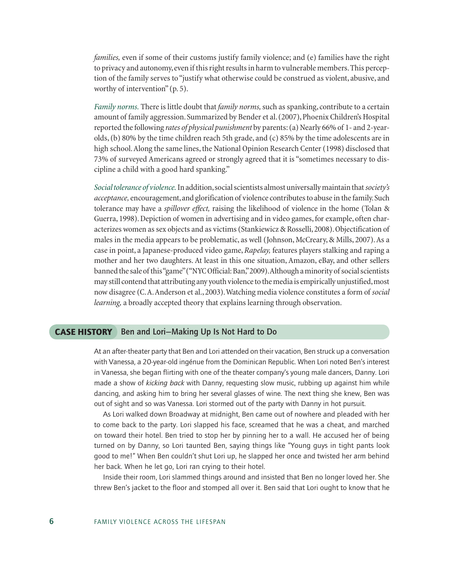*families,* even if some of their customs justify family violence; and (e) families have the right to privacy and autonomy, even if this right results in harm to vulnerable members. This perception of the family serves to "justify what otherwise could be construed as violent, abusive, and worthy of intervention" (p. 5).

*Family norms.* There is little doubt that *family norms,* such as spanking, contribute to a certain amount of family aggression. Summarized by Bender et al. (2007), Phoenix Children's Hospital reported the following *rates of physical punishment* by parents: (a) Nearly 66% of 1- and 2-yearolds, (b) 80% by the time children reach 5th grade, and (c) 85% by the time adolescents are in high school. Along the same lines, the National Opinion Research Center (1998) disclosed that 73% of surveyed Americans agreed or strongly agreed that it is "sometimes necessary to discipline a child with a good hard spanking."

*Social tolerance of violence.* In addition, social scientists almost universally maintain that *society's acceptance,* encouragement, and glorification of violence contributes to abuse in the family. Such tolerance may have a *spillover effect,* raising the likelihood of violence in the home (Tolan & Guerra, 1998). Depiction of women in advertising and in video games, for example, often characterizes women as sex objects and as victims (Stankiewicz & Rosselli, 2008). Objectification of males in the media appears to be problematic, as well (Johnson, McCreary, & Mills, 2007). As a case in point, a Japanese-produced video game, *Rapelay,* features players stalking and raping a mother and her two daughters. At least in this one situation, Amazon, eBay, and other sellers banned the sale of this "game" ("NYC Official: Ban," 2009). Although a minority of social scientists may still contend that attributing any youth violence to the media is empirically unjustified, most now disagree (C. A. Anderson et al., 2003). Watching media violence constitutes a form of *social learning,* a broadly accepted theory that explains learning through observation.

#### CASE HISTORY | Ben and Lori-Making Up Is Not Hard to Do

At an after-theater party that Ben and Lori attended on their vacation, Ben struck up a conversation with Vanessa, a 20-year-old ingénue from the Dominican Republic. When Lori noted Ben's interest in Vanessa, she began flirting with one of the theater company's young male dancers, Danny. Lori made a show of *kicking back* with Danny, requesting slow music, rubbing up against him while dancing, and asking him to bring her several glasses of wine. The next thing she knew, Ben was out of sight and so was Vanessa. Lori stormed out of the party with Danny in hot pursuit.

As Lori walked down Broadway at midnight, Ben came out of nowhere and pleaded with her to come back to the party. Lori slapped his face, screamed that he was a cheat, and marched on toward their hotel. Ben tried to stop her by pinning her to a wall. He accused her of being turned on by Danny, so Lori taunted Ben, saying things like "Young guys in tight pants look good to me!" When Ben couldn't shut Lori up, he slapped her once and twisted her arm behind her back. When he let go, Lori ran crying to their hotel.

Inside their room, Lori slammed things around and insisted that Ben no longer loved her. She threw Ben's jacket to the floor and stomped all over it. Ben said that Lori ought to know that he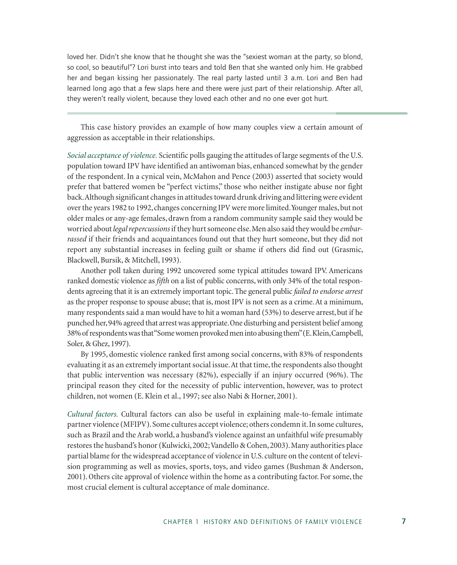loved her. Didn't she know that he thought she was the "sexiest woman at the party, so blond, so cool, so beautiful"? Lori burst into tears and told Ben that she wanted only him. He grabbed her and began kissing her passionately. The real party lasted until 3 a.m. Lori and Ben had learned long ago that a few slaps here and there were just part of their relationship. After all, they weren't really violent, because they loved each other and no one ever got hurt.

This case history provides an example of how many couples view a certain amount of aggression as acceptable in their relationships.

*Social acceptance of violence.* Scientific polls gauging the attitudes of large segments of the U.S. population toward IPV have identified an antiwoman bias, enhanced somewhat by the gender of the respondent. In a cynical vein, McMahon and Pence (2003) asserted that society would prefer that battered women be "perfect victims," those who neither instigate abuse nor fight back. Although significant changes in attitudes toward drunk driving and littering were evident over the years 1982 to 1992, changes concerning IPV were more limited. Younger males, but not older males or any-age females, drawn from a random community sample said they would be worried about *legal repercussions* if they hurt someone else. Men also said they would be *embarrassed* if their friends and acquaintances found out that they hurt someone, but they did not report any substantial increases in feeling guilt or shame if others did find out (Grasmic, Blackwell, Bursik, & Mitchell, 1993).

Another poll taken during 1992 uncovered some typical attitudes toward IPV. Americans ranked domestic violence as *fifth* on a list of public concerns, with only 34% of the total respondents agreeing that it is an extremely important topic. The general public *failed to endorse arrest* as the proper response to spouse abuse; that is, most IPV is not seen as a crime. At a minimum, many respondents said a man would have to hit a woman hard (53%) to deserve arrest, but if he punched her, 94% agreed that arrest was appropriate. One disturbing and persistent belief among 38% of respondents was that "Some women provoked men into abusing them" (E. Klein, Campbell, Soler, & Ghez, 1997).

By 1995, domestic violence ranked first among social concerns, with 83% of respondents evaluating it as an extremely important social issue. At that time, the respondents also thought that public intervention was necessary (82%), especially if an injury occurred (96%). The principal reason they cited for the necessity of public intervention, however, was to protect children, not women (E. Klein et al., 1997; see also Nabi & Horner, 2001).

*Cultural factors.* Cultural factors can also be useful in explaining male-to-female intimate partner violence (MFIPV). Some cultures accept violence; others condemn it. In some cultures, such as Brazil and the Arab world, a husband's violence against an unfaithful wife presumably restores the husband's honor (Kulwicki, 2002; Vandello & Cohen, 2003). Many authorities place partial blame for the widespread acceptance of violence in U.S. culture on the content of television programming as well as movies, sports, toys, and video games (Bushman & Anderson, 2001). Others cite approval of violence within the home as a contributing factor. For some, the most crucial element is cultural acceptance of male dominance.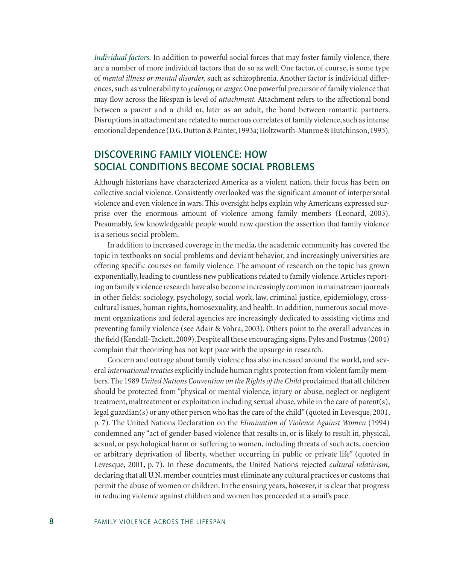*Individual factors.* In addition to powerful social forces that may foster family violence, there are a number of more individual factors that do so as well. One factor, of course, is some type of *mental illness or mental disorder,* such as schizophrenia. Another factor is individual differences, such as vulnerability to *jealousy,* or *anger.* One powerful precursor of family violence that may flow across the lifespan is level of *attachment.* Attachment refers to the affectional bond between a parent and a child or, later as an adult, the bond between romantic partners. Disruptions in attachment are related to numerous correlates of family violence, such as intense emotional dependence (D.G. Dutton & Painter, 1993a; Holtzworth-Munroe & Hutchinson, 1993).

# DISCOVERING FAMILY VIOLENCE: HOW SOCIAL CONDITIONS BECOME SOCIAL PROBLEMS

Although historians have characterized America as a violent nation, their focus has been on collective social violence. Consistently overlooked was the significant amount of interpersonal violence and even violence in wars. This oversight helps explain why Americans expressed surprise over the enormous amount of violence among family members (Leonard, 2003). Presumably, few knowledgeable people would now question the assertion that family violence is a serious social problem.

In addition to increased coverage in the media, the academic community has covered the topic in textbooks on social problems and deviant behavior, and increasingly universities are offering specific courses on family violence. The amount of research on the topic has grown exponentially, leading to countless new publications related to family violence. Articles reporting on family violence research have also become increasingly common in mainstream journals in other fields: sociology, psychology, social work, law, criminal justice, epidemiology, crosscultural issues, human rights, homosexuality, and health. In addition, numerous social movement organizations and federal agencies are increasingly dedicated to assisting victims and preventing family violence (see Adair & Vohra, 2003). Others point to the overall advances in the field (Kendall-Tackett, 2009). Despite all these encouraging signs, Pyles and Postmus (2004) complain that theorizing has not kept pace with the upsurge in research.

Concern and outrage about family violence has also increased around the world, and several *international treaties* explicitly include human rights protection from violent family members. The 1989 *United Nations Convention on the Rights of the Child* proclaimed that all children should be protected from "physical or mental violence, injury or abuse, neglect or negligent treatment, maltreatment or exploitation including sexual abuse, while in the care of parent(s), legal guardian(s) or any other person who has the care of the child" (quoted in Levesque, 2001, p. 7). The United Nations Declaration on the *Elimination of Violence Against Women* (1994) condemned any "act of gender-based violence that results in, or is likely to result in, physical, sexual, or psychological harm or suffering to women, including threats of such acts, coercion or arbitrary deprivation of liberty, whether occurring in public or private life" (quoted in Levesque, 2001, p. 7). In these documents, the United Nations rejected *cultural relativism,* declaring that all U.N. member countries must eliminate any cultural practices or customs that permit the abuse of women or children. In the ensuing years, however, it is clear that progress in reducing violence against children and women has proceeded at a snail's pace.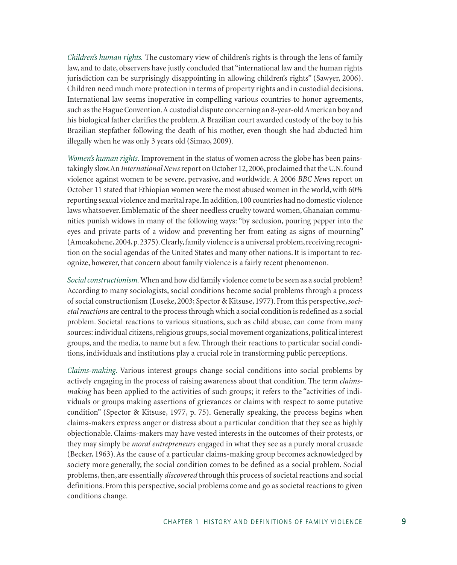*Children's human rights.* The customary view of children's rights is through the lens of family law, and to date, observers have justly concluded that "international law and the human rights jurisdiction can be surprisingly disappointing in allowing children's rights" (Sawyer, 2006). Children need much more protection in terms of property rights and in custodial decisions. International law seems inoperative in compelling various countries to honor agreements, such as the Hague Convention. A custodial dispute concerning an 8-year-old American boy and his biological father clarifies the problem. A Brazilian court awarded custody of the boy to his Brazilian stepfather following the death of his mother, even though she had abducted him illegally when he was only 3 years old (Simao, 2009).

*Women's human rights.* Improvement in the status of women across the globe has been painstakingly slow. An *International News* report on October 12, 2006, proclaimed that the U.N. found violence against women to be severe, pervasive, and worldwide. A 2006 *BBC News* report on October 11 stated that Ethiopian women were the most abused women in the world, with 60% reporting sexual violence and marital rape. In addition, 100 countries had no domestic violence laws whatsoever. Emblematic of the sheer needless cruelty toward women, Ghanaian communities punish widows in many of the following ways: "by seclusion, pouring pepper into the eyes and private parts of a widow and preventing her from eating as signs of mourning" (Amoakohene, 2004, p. 2375). Clearly, family violence is a universal problem, receiving recognition on the social agendas of the United States and many other nations. It is important to recognize, however, that concern about family violence is a fairly recent phenomenon.

*Social constructionism.* When and how did family violence come to be seen as a social problem? According to many sociologists, social conditions become social problems through a process of social constructionism (Loseke, 2003; Spector & Kitsuse, 1977). From this perspective, *societal reactions* are central to the process through which a social condition is redefined as a social problem. Societal reactions to various situations, such as child abuse, can come from many sources: individual citizens, religious groups, social movement organizations, political interest groups, and the media, to name but a few. Through their reactions to particular social conditions, individuals and institutions play a crucial role in transforming public perceptions.

*Claims-making.* Various interest groups change social conditions into social problems by actively engaging in the process of raising awareness about that condition. The term *claimsmaking* has been applied to the activities of such groups; it refers to the "activities of individuals or groups making assertions of grievances or claims with respect to some putative condition" (Spector & Kitsuse, 1977, p. 75). Generally speaking, the process begins when claims-makers express anger or distress about a particular condition that they see as highly objectionable. Claims-makers may have vested interests in the outcomes of their protests, or they may simply be *moral entrepreneurs* engaged in what they see as a purely moral crusade (Becker, 1963). As the cause of a particular claims-making group becomes acknowledged by society more generally, the social condition comes to be defined as a social problem. Social problems, then, are essentially *discovered* through this process of societal reactions and social definitions. From this perspective, social problems come and go as societal reactions to given conditions change.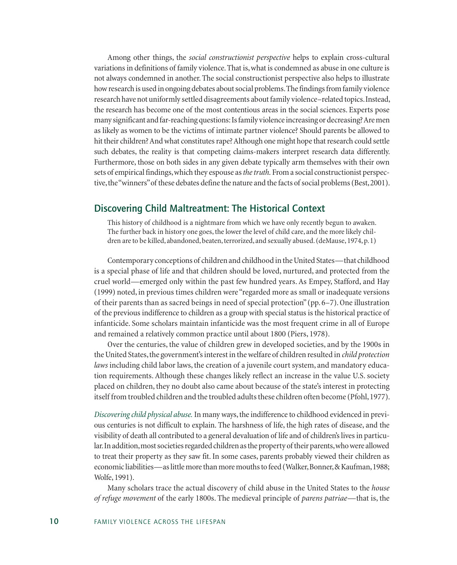Among other things, the *social constructionist perspective* helps to explain cross-cultural variations in definitions of family violence. That is, what is condemned as abuse in one culture is not always condemned in another. The social constructionist perspective also helps to illustrate how research is used in ongoing debates about social problems. The findings from family violence research have not uniformly settled disagreements about family violence–related topics. Instead, the research has become one of the most contentious areas in the social sciences. Experts pose many significant and far-reaching questions: Is family violence increasing or decreasing? Are men as likely as women to be the victims of intimate partner violence? Should parents be allowed to hit their children? And what constitutes rape? Although one might hope that research could settle such debates, the reality is that competing claims-makers interpret research data differently. Furthermore, those on both sides in any given debate typically arm themselves with their own sets of empirical findings, which they espouse as *the truth.* From a social constructionist perspective, the "winners" of these debates define the nature and the facts of social problems (Best, 2001).

## Discovering Child Maltreatment: The Historical Context

This history of childhood is a nightmare from which we have only recently begun to awaken. The further back in history one goes, the lower the level of child care, and the more likely children are to be killed, abandoned, beaten, terrorized, and sexually abused. (deMause, 1974, p.1)

Contemporary conceptions of children and childhood in the United States—that childhood is a special phase of life and that children should be loved, nurtured, and protected from the cruel world—emerged only within the past few hundred years. As Empey, Stafford, and Hay (1999) noted, in previous times children were "regarded more as small or inadequate versions of their parents than as sacred beings in need of special protection" (pp. 6–7). One illustration of the previous indifference to children as a group with special status is the historical practice of infanticide. Some scholars maintain infanticide was the most frequent crime in all of Europe and remained a relatively common practice until about 1800 (Piers, 1978).

Over the centuries, the value of children grew in developed societies, and by the 1900s in the United States, the government's interest in the welfare of children resulted in *child protection laws* including child labor laws, the creation of a juvenile court system, and mandatory education requirements. Although these changes likely reflect an increase in the value U.S. society placed on children, they no doubt also came about because of the state's interest in protecting itself from troubled children and the troubled adults these children often become (Pfohl, 1977).

*Discovering child physical abuse.* In many ways, the indifference to childhood evidenced in previous centuries is not difficult to explain. The harshness of life, the high rates of disease, and the visibility of death all contributed to a general devaluation of life and of children's lives in particular. In addition, most societies regarded children as the property of their parents, who were allowed to treat their property as they saw fit. In some cases, parents probably viewed their children as economic liabilities—as little more than more mouths to feed (Walker, Bonner, & Kaufman, 1988; Wolfe, 1991).

Many scholars trace the actual discovery of child abuse in the United States to the *house of refuge movement* of the early 1800s. The medieval principle of *parens patriae*—that is, the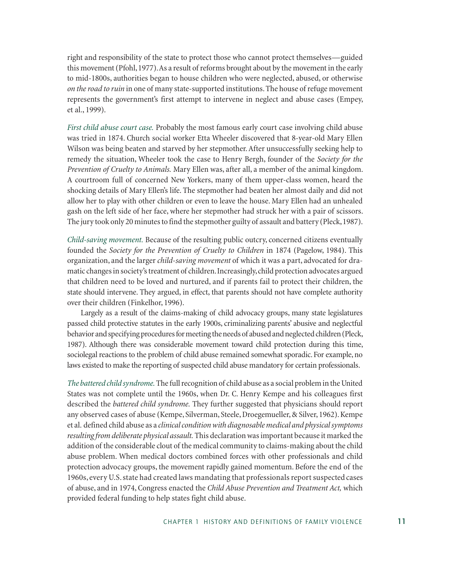right and responsibility of the state to protect those who cannot protect themselves—guided this movement (Pfohl, 1977). As a result of reforms brought about by the movement in the early to mid-1800s, authorities began to house children who were neglected, abused, or otherwise *on the road to ruin* in one of many state-supported institutions. The house of refuge movement represents the government's first attempt to intervene in neglect and abuse cases (Empey, et al., 1999).

*First child abuse court case.* Probably the most famous early court case involving child abuse was tried in 1874. Church social worker Etta Wheeler discovered that 8-year-old Mary Ellen Wilson was being beaten and starved by her stepmother. After unsuccessfully seeking help to remedy the situation, Wheeler took the case to Henry Bergh, founder of the *Society for the Prevention of Cruelty to Animals.* Mary Ellen was, after all, a member of the animal kingdom. A courtroom full of concerned New Yorkers, many of them upper-class women, heard the shocking details of Mary Ellen's life. The stepmother had beaten her almost daily and did not allow her to play with other children or even to leave the house. Mary Ellen had an unhealed gash on the left side of her face, where her stepmother had struck her with a pair of scissors. The jury took only 20 minutes to find the stepmother guilty of assault and battery (Pleck, 1987).

*Child-saving movement.* Because of the resulting public outcry, concerned citizens eventually founded the *Society for the Prevention of Cruelty to Children* in 1874 (Pagelow, 1984). This organization, and the larger *child-saving movement* of which it was a part, advocated for dramatic changes in society's treatment of children. Increasingly, child protection advocates argued that children need to be loved and nurtured, and if parents fail to protect their children, the state should intervene. They argued, in effect, that parents should not have complete authority over their children (Finkelhor, 1996).

Largely as a result of the claims-making of child advocacy groups, many state legislatures passed child protective statutes in the early 1900s, criminalizing parents' abusive and neglectful behavior and specifying procedures for meeting the needs of abused and neglected children (Pleck, 1987). Although there was considerable movement toward child protection during this time, sociolegal reactions to the problem of child abuse remained somewhat sporadic. For example, no laws existed to make the reporting of suspected child abuse mandatory for certain professionals.

*The battered child syndrome.* The full recognition of child abuse as a social problem in the United States was not complete until the 1960s, when Dr. C. Henry Kempe and his colleagues first described the *battered child syndrome.* They further suggested that physicians should report any observed cases of abuse (Kempe, Silverman, Steele, Droegemueller, & Silver, 1962). Kempe et al. defined child abuse as a *clinical condition with diagnosable medical and physical symptoms resulting from deliberate physical assault.* This declaration was important because it marked the addition of the considerable clout of the medical community to claims-making about the child abuse problem. When medical doctors combined forces with other professionals and child protection advocacy groups, the movement rapidly gained momentum. Before the end of the 1960s, every U.S. state had created laws mandating that professionals report suspected cases of abuse, and in 1974, Congress enacted the *Child Abuse Prevention and Treatment Act,* which provided federal funding to help states fight child abuse.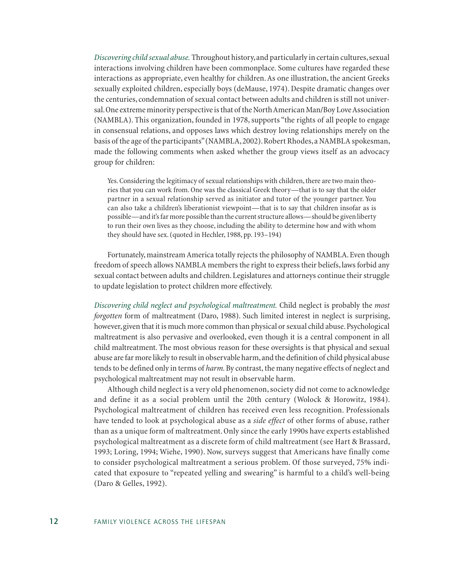*Discovering child sexual abuse.* Throughout history, and particularly in certain cultures, sexual interactions involving children have been commonplace. Some cultures have regarded these interactions as appropriate, even healthy for children. As one illustration, the ancient Greeks sexually exploited children, especially boys (deMause, 1974). Despite dramatic changes over the centuries, condemnation of sexual contact between adults and children is still not universal. One extreme minority perspective is that of the North American Man/Boy Love Association (NAMBLA). This organization, founded in 1978, supports "the rights of all people to engage in consensual relations, and opposes laws which destroy loving relationships merely on the basis of the age of the participants" (NAMBLA, 2002). Robert Rhodes, a NAMBLA spokesman, made the following comments when asked whether the group views itself as an advocacy group for children:

Yes. Considering the legitimacy of sexual relationships with children, there are two main theories that you can work from. One was the classical Greek theory—that is to say that the older partner in a sexual relationship served as initiator and tutor of the younger partner. You can also take a children's liberationist viewpoint—that is to say that children insofar as is possible—and it's far more possible than the current structure allows—should be given liberty to run their own lives as they choose, including the ability to determine how and with whom they should have sex. (quoted in Hechler, 1988, pp. 193–194)

Fortunately, mainstream America totally rejects the philosophy of NAMBLA. Even though freedom of speech allows NAMBLA members the right to express their beliefs, laws forbid any sexual contact between adults and children. Legislatures and attorneys continue their struggle to update legislation to protect children more effectively.

*Discovering child neglect and psychological maltreatment.* Child neglect is probably the *most forgotten* form of maltreatment (Daro, 1988). Such limited interest in neglect is surprising, however, given that it is much more common than physical or sexual child abuse. Psychological maltreatment is also pervasive and overlooked, even though it is a central component in all child maltreatment. The most obvious reason for these oversights is that physical and sexual abuse are far more likely to result in observable harm, and the definition of child physical abuse tends to be defined only in terms of *harm.* By contrast, the many negative effects of neglect and psychological maltreatment may not result in observable harm.

Although child neglect is a very old phenomenon, society did not come to acknowledge and define it as a social problem until the 20th century (Wolock & Horowitz, 1984). Psychological maltreatment of children has received even less recognition. Professionals have tended to look at psychological abuse as a *side effect* of other forms of abuse, rather than as a unique form of maltreatment. Only since the early 1990s have experts established psychological maltreatment as a discrete form of child maltreatment (see Hart & Brassard, 1993; Loring, 1994; Wiehe, 1990). Now, surveys suggest that Americans have finally come to consider psychological maltreatment a serious problem. Of those surveyed, 75% indicated that exposure to "repeated yelling and swearing" is harmful to a child's well-being (Daro & Gelles, 1992).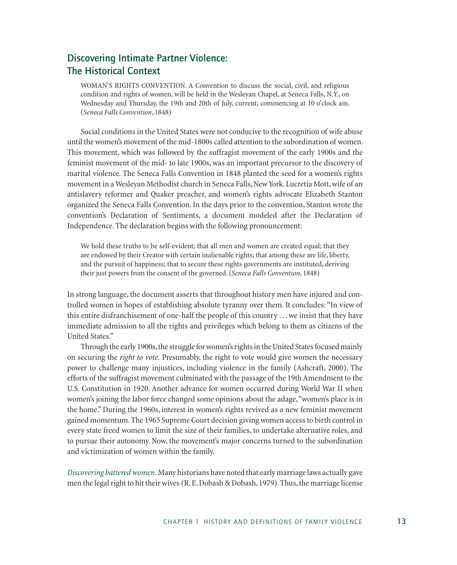# Discovering Intimate Partner Violence: The Historical Context

WOMAN'S RIGHTS CONVENTION. A Convention to discuss the social, civil, and religious condition and rights of women, will be held in the Wesleyan Chapel, at Seneca Falls, N.Y., on Wednesday and Thursday, the 19th and 20th of July, current; commencing at 10 o'clock am. (*Seneca Falls Convention*, 1848)

Social conditions in the United States were not conducive to the recognition of wife abuse until the women's movement of the mid-1800s called attention to the subordination of women. This movement, which was followed by the suffragist movement of the early 1900s and the feminist movement of the mid- to late 1900s, was an important precursor to the discovery of marital violence. The Seneca Falls Convention in 1848 planted the seed for a women's rights movement in a Wesleyan Methodist church in Seneca Falls, New York. Lucretia Mott, wife of an antislavery reformer and Quaker preacher, and women's rights advocate Elizabeth Stanton organized the Seneca Falls Convention. In the days prior to the convention, Stanton wrote the convention's Declaration of Sentiments, a document modeled after the Declaration of Independence. The declaration begins with the following pronouncement:

We hold these truths to be self-evident; that all men and women are created equal; that they are endowed by their Creator with certain inalienable rights; that among these are life, liberty, and the pursuit of happiness; that to secure these rights governments are instituted, deriving their just powers from the consent of the governed. (*Seneca Falls Convention*, 1848)

In strong language, the document asserts that throughout history men have injured and controlled women in hopes of establishing absolute tyranny over them. It concludes: "In view of this entire disfranchisement of one-half the people of this country . . . we insist that they have immediate admission to all the rights and privileges which belong to them as citizens of the United States."

Through the early 1900s, the struggle for women's rights in the United States focused mainly on securing the *right to vote.* Presumably, the right to vote would give women the necessary power to challenge many injustices, including violence in the family (Ashcraft, 2000). The efforts of the suffragist movement culminated with the passage of the 19th Amendment to the U.S. Constitution in 1920. Another advance for women occurred during World War II when women's joining the labor force changed some opinions about the adage, "women's place is in the home." During the 1960s, interest in women's rights revived as a new feminist movement gained momentum. The 1965 Supreme Court decision giving women access to birth control in every state freed women to limit the size of their families, to undertake alternative roles, and to pursue their autonomy. Now, the movement's major concerns turned to the subordination and victimization of women within the family.

*Discovering battered women.* Many historians have noted that early marriage laws actually gave men the legal right to hit their wives (R. E. Dobash & Dobash, 1979). Thus, the marriage license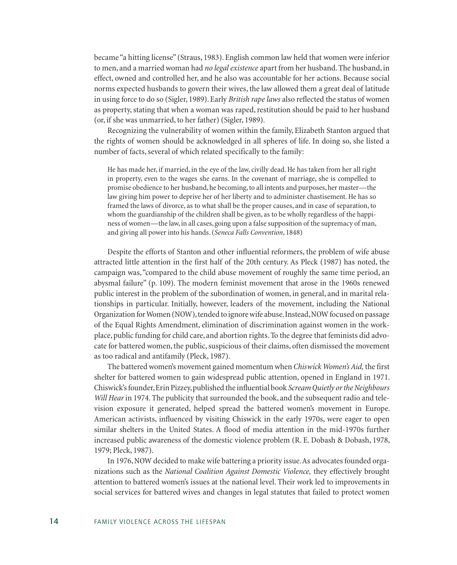became "a hitting license" (Straus, 1983). English common law held that women were inferior to men, and a married woman had *no legal existence* apart from her husband. The husband, in effect, owned and controlled her, and he also was accountable for her actions. Because social norms expected husbands to govern their wives, the law allowed them a great deal of latitude in using force to do so (Sigler, 1989). Early *British rape laws* also reflected the status of women as property, stating that when a woman was raped, restitution should be paid to her husband (or, if she was unmarried, to her father) (Sigler, 1989).

Recognizing the vulnerability of women within the family, Elizabeth Stanton argued that the rights of women should be acknowledged in all spheres of life. In doing so, she listed a number of facts, several of which related specifically to the family:

He has made her, if married, in the eye of the law, civilly dead. He has taken from her all right in property, even to the wages she earns. In the covenant of marriage, she is compelled to promise obedience to her husband, he becoming, to all intents and purposes, her master—the law giving him power to deprive her of her liberty and to administer chastisement. He has so framed the laws of divorce, as to what shall be the proper causes, and in case of separation, to whom the guardianship of the children shall be given, as to be wholly regardless of the happiness of women—the law, in all cases, going upon a false supposition of the supremacy of man, and giving all power into his hands. (*Seneca Falls Convention*, 1848)

Despite the efforts of Stanton and other influential reformers, the problem of wife abuse attracted little attention in the first half of the 20th century. As Pleck (1987) has noted, the campaign was, "compared to the child abuse movement of roughly the same time period, an abysmal failure" (p. 109). The modern feminist movement that arose in the 1960s renewed public interest in the problem of the subordination of women, in general, and in marital relationships in particular. Initially, however, leaders of the movement, including the National Organization for Women (NOW), tended to ignore wife abuse. Instead, NOW focused on passage of the Equal Rights Amendment, elimination of discrimination against women in the workplace, public funding for child care, and abortion rights. To the degree that feminists did advocate for battered women, the public, suspicious of their claims, often dismissed the movement as too radical and antifamily (Pleck, 1987).

The battered women's movement gained momentum when *Chiswick Women's Aid,* the first shelter for battered women to gain widespread public attention, opened in England in 1971. Chiswick's founder, Erin Pizzey, published the influential book *Scream Quietly or the Neighbours Will Hear* in 1974. The publicity that surrounded the book, and the subsequent radio and television exposure it generated, helped spread the battered women's movement in Europe. American activists, influenced by visiting Chiswick in the early 1970s, were eager to open similar shelters in the United States. A flood of media attention in the mid-1970s further increased public awareness of the domestic violence problem (R. E. Dobash & Dobash, 1978, 1979; Pleck, 1987).

In 1976, NOW decided to make wife battering a priority issue. As advocates founded organizations such as the *National Coalition Against Domestic Violence,* they effectively brought attention to battered women's issues at the national level. Their work led to improvements in social services for battered wives and changes in legal statutes that failed to protect women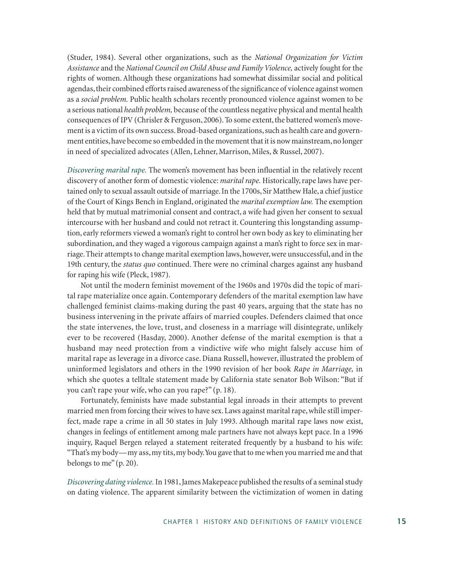(Studer, 1984). Several other organizations, such as the *National Organization for Victim Assistance* and the *National Council on Child Abuse and Family Violence,* actively fought for the rights of women. Although these organizations had somewhat dissimilar social and political agendas, their combined efforts raised awareness of the significance of violence against women as a *social problem.* Public health scholars recently pronounced violence against women to be a serious national *health problem,* because of the countless negative physical and mental health consequences of IPV (Chrisler & Ferguson, 2006). To some extent, the battered women's movement is a victim of its own success. Broad-based organizations, such as health care and government entities, have become so embedded in the movement that it is now mainstream, no longer in need of specialized advocates (Allen, Lehner, Marrison, Miles, & Russel, 2007).

*Discovering marital rape.* The women's movement has been influential in the relatively recent discovery of another form of domestic violence: *marital rape.* Historically, rape laws have pertained only to sexual assault outside of marriage. In the 1700s, Sir Matthew Hale, a chief justice of the Court of Kings Bench in England, originated the *marital exemption law.* The exemption held that by mutual matrimonial consent and contract, a wife had given her consent to sexual intercourse with her husband and could not retract it. Countering this longstanding assumption, early reformers viewed a woman's right to control her own body as key to eliminating her subordination, and they waged a vigorous campaign against a man's right to force sex in marriage. Their attempts to change marital exemption laws, however, were unsuccessful, and in the 19th century, the *status quo* continued. There were no criminal charges against any husband for raping his wife (Pleck, 1987).

Not until the modern feminist movement of the 1960s and 1970s did the topic of marital rape materialize once again. Contemporary defenders of the marital exemption law have challenged feminist claims-making during the past 40 years, arguing that the state has no business intervening in the private affairs of married couples. Defenders claimed that once the state intervenes, the love, trust, and closeness in a marriage will disintegrate, unlikely ever to be recovered (Hasday, 2000). Another defense of the marital exemption is that a husband may need protection from a vindictive wife who might falsely accuse him of marital rape as leverage in a divorce case. Diana Russell, however, illustrated the problem of uninformed legislators and others in the 1990 revision of her book *Rape in Marriage,* in which she quotes a telltale statement made by California state senator Bob Wilson: "But if you can't rape your wife, who can you rape?" (p. 18).

Fortunately, feminists have made substantial legal inroads in their attempts to prevent married men from forcing their wives to have sex. Laws against marital rape, while still imperfect, made rape a crime in all 50 states in July 1993. Although marital rape laws now exist, changes in feelings of entitlement among male partners have not always kept pace. In a 1996 inquiry, Raquel Bergen relayed a statement reiterated frequently by a husband to his wife: "That's my body—my ass, my tits, my body. You gave that to me when you married me and that belongs to me" (p. 20).

*Discovering dating violence.* In 1981, James Makepeace published the results of a seminal study on dating violence. The apparent similarity between the victimization of women in dating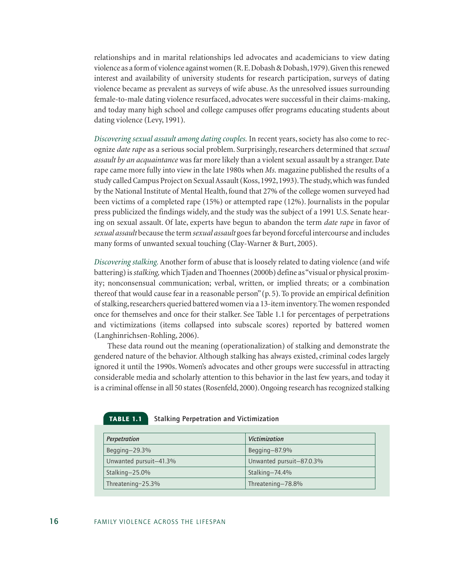relationships and in marital relationships led advocates and academicians to view dating violence as a form of violence against women (R. E. Dobash & Dobash, 1979). Given this renewed interest and availability of university students for research participation, surveys of dating violence became as prevalent as surveys of wife abuse. As the unresolved issues surrounding female-to-male dating violence resurfaced, advocates were successful in their claims-making, and today many high school and college campuses offer programs educating students about dating violence (Levy, 1991).

*Discovering sexual assault among dating couples.* In recent years, society has also come to recognize *date rape* as a serious social problem. Surprisingly, researchers determined that *sexual assault by an acquaintance* was far more likely than a violent sexual assault by a stranger. Date rape came more fully into view in the late 1980s when *Ms.* magazine published the results of a study called Campus Project on Sexual Assault (Koss, 1992, 1993). The study, which was funded by the National Institute of Mental Health, found that 27% of the college women surveyed had been victims of a completed rape (15%) or attempted rape (12%). Journalists in the popular press publicized the findings widely, and the study was the subject of a 1991 U.S. Senate hearing on sexual assault. Of late, experts have begun to abandon the term *date rape* in favor of *sexual assault* because the term *sexual assault* goes far beyond forceful intercourse and includes many forms of unwanted sexual touching (Clay-Warner & Burt, 2005).

*Discovering stalking.* Another form of abuse that is loosely related to dating violence (and wife battering) is *stalking,* which Tjaden and Thoennes (2000b) define as "visual or physical proximity; nonconsensual communication; verbal, written, or implied threats; or a combination thereof that would cause fear in a reasonable person" (p. 5). To provide an empirical definition of stalking, researchers queried battered women via a 13-item inventory. The women responded once for themselves and once for their stalker. See Table 1.1 for percentages of perpetrations and victimizations (items collapsed into subscale scores) reported by battered women (Langhinrichsen-Rohling, 2006).

These data round out the meaning (operationalization) of stalking and demonstrate the gendered nature of the behavior. Although stalking has always existed, criminal codes largely ignored it until the 1990s. Women's advocates and other groups were successful in attracting considerable media and scholarly attention to this behavior in the last few years, and today it is a criminal offense in all 50 states (Rosenfeld, 2000). Ongoing research has recognized stalking

| $\blacksquare$ TABLE 1.1 $\blacksquare$ | <b>Stalking Perpetration and Victimization</b> |
|-----------------------------------------|------------------------------------------------|
|                                         |                                                |

| Perpetration           | Victimization            |  |
|------------------------|--------------------------|--|
| Begging $-29.3\%$      | Begging-87.9%            |  |
| Unwanted pursuit-41.3% | Unwanted pursuit-87.0.3% |  |
| Stalking-25.0%         | Stalking-74.4%           |  |
| Threatening-25.3%      | Threatening-78.8%        |  |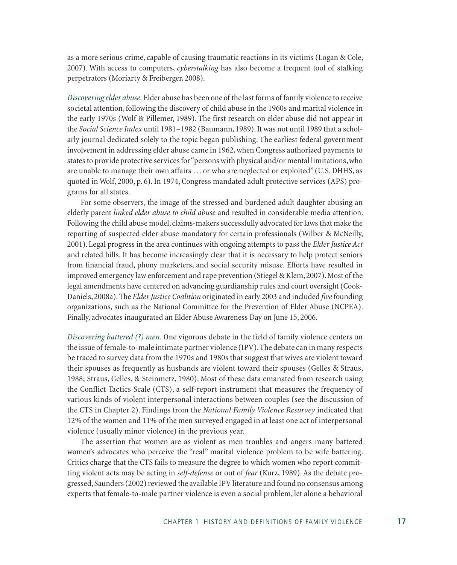as a more serious crime, capable of causing traumatic reactions in its victims (Logan & Cole, 2007). With access to computers, *cyberstalking* has also become a frequent tool of stalking perpetrators (Moriarty & Freiberger, 2008).

*Discovering elder abuse.* Elder abuse has been one of the last forms of family violence to receive societal attention, following the discovery of child abuse in the 1960s and marital violence in the early 1970s (Wolf & Pillemer, 1989). The first research on elder abuse did not appear in the *Social Science Index* until 1981–1982 (Baumann, 1989). It was not until 1989 that a scholarly journal dedicated solely to the topic began publishing. The earliest federal government involvement in addressing elder abuse came in 1962, when Congress authorized payments to states to provide protective services for "persons with physical and/or mental limitations, who are unable to manage their own affairs . . . or who are neglected or exploited" (U.S. DHHS, as quoted in Wolf, 2000, p. 6). In 1974, Congress mandated adult protective services (APS) programs for all states.

For some observers, the image of the stressed and burdened adult daughter abusing an elderly parent *linked elder abuse to child abuse* and resulted in considerable media attention. Following the child abuse model, claims-makers successfully advocated for laws that make the reporting of suspected elder abuse mandatory for certain professionals (Wilber & McNeilly, 2001). Legal progress in the area continues with ongoing attempts to pass the *Elder Justice Act* and related bills. It has become increasingly clear that it is necessary to help protect seniors from financial fraud, phony marketers, and social security misuse. Efforts have resulted in improved emergency law enforcement and rape prevention (Stiegel & Klem, 2007). Most of the legal amendments have centered on advancing guardianship rules and court oversight (Cook-Daniels, 2008a). The *Elder Justice Coalition* originated in early 2003 and included *five* founding organizations, such as the National Committee for the Prevention of Elder Abuse (NCPEA). Finally, advocates inaugurated an Elder Abuse Awareness Day on June 15, 2006.

*Discovering battered (?) men.* One vigorous debate in the field of family violence centers on the issue of female-to-male intimate partner violence (IPV). The debate can in many respects be traced to survey data from the 1970s and 1980s that suggest that wives are violent toward their spouses as frequently as husbands are violent toward their spouses (Gelles & Straus, 1988; Straus, Gelles, & Steinmetz, 1980). Most of these data emanated from research using the Conflict Tactics Scale (CTS), a self-report instrument that measures the frequency of various kinds of violent interpersonal interactions between couples (see the discussion of the CTS in Chapter 2). Findings from the *National Family Violence Resurvey* indicated that 12% of the women and 11% of the men surveyed engaged in at least one act of interpersonal violence (usually minor violence) in the previous year.

The assertion that women are as violent as men troubles and angers many battered women's advocates who perceive the "real" marital violence problem to be wife battering. Critics charge that the CTS fails to measure the degree to which women who report committing violent acts may be acting in *self-defense* or out of *fear* (Kurz, 1989). As the debate progressed, Saunders (2002) reviewed the available IPV literature and found no consensus among experts that female-to-male partner violence is even a social problem, let alone a behavioral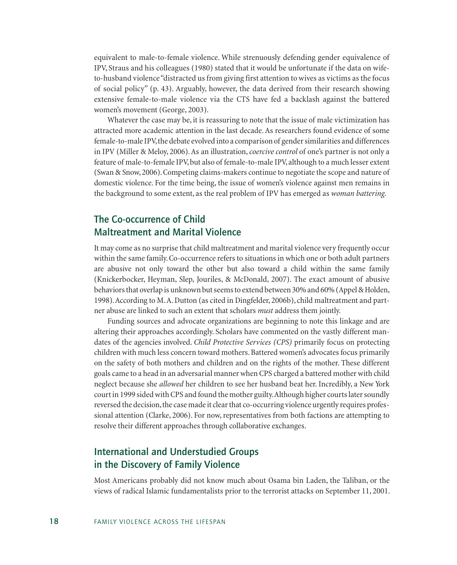equivalent to male-to-female violence. While strenuously defending gender equivalence of IPV, Straus and his colleagues (1980) stated that it would be unfortunate if the data on wifeto-husband violence "distracted us from giving first attention to wives as victims as the focus of social policy" (p. 43). Arguably, however, the data derived from their research showing extensive female-to-male violence via the CTS have fed a backlash against the battered women's movement (George, 2003).

Whatever the case may be, it is reassuring to note that the issue of male victimization has attracted more academic attention in the last decade. As researchers found evidence of some female-to-male IPV, the debate evolved into a comparison of gender similarities and differences in IPV (Miller & Meloy, 2006). As an illustration, *coercive control* of one's partner is not only a feature of male-to-female IPV, but also of female-to-male IPV, although to a much lesser extent (Swan & Snow, 2006). Competing claims-makers continue to negotiate the scope and nature of domestic violence. For the time being, the issue of women's violence against men remains in the background to some extent, as the real problem of IPV has emerged as *woman battering.*

# The Co-occurrence of Child Maltreatment and Marital Violence

It may come as no surprise that child maltreatment and marital violence very frequently occur within the same family. Co-occurrence refers to situations in which one or both adult partners are abusive not only toward the other but also toward a child within the same family (Knickerbocker, Heyman, Slep, Jouriles, & McDonald, 2007). The exact amount of abusive behaviors that overlap is unknown but seems to extend between 30% and 60% (Appel & Holden, 1998). According to M. A. Dutton (as cited in Dingfelder, 2006b), child maltreatment and partner abuse are linked to such an extent that scholars *must* address them jointly.

Funding sources and advocate organizations are beginning to note this linkage and are altering their approaches accordingly. Scholars have commented on the vastly different mandates of the agencies involved. *Child Protective Services (CPS)* primarily focus on protecting children with much less concern toward mothers. Battered women's advocates focus primarily on the safety of both mothers and children and on the rights of the mother. These different goals came to a head in an adversarial manner when CPS charged a battered mother with child neglect because she *allowed* her children to see her husband beat her. Incredibly, a New York court in 1999 sided with CPS and found the mother guilty. Although higher courts later soundly reversed the decision, the case made it clear that co-occurring violence urgently requires professional attention (Clarke, 2006). For now, representatives from both factions are attempting to resolve their different approaches through collaborative exchanges.

# International and Understudied Groups in the Discovery of Family Violence

Most Americans probably did not know much about Osama bin Laden, the Taliban, or the views of radical Islamic fundamentalists prior to the terrorist attacks on September 11, 2001.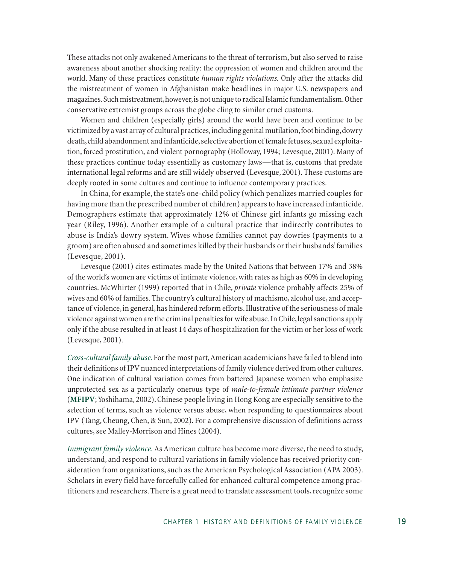These attacks not only awakened Americans to the threat of terrorism, but also served to raise awareness about another shocking reality: the oppression of women and children around the world. Many of these practices constitute *human rights violations.* Only after the attacks did the mistreatment of women in Afghanistan make headlines in major U.S. newspapers and magazines. Such mistreatment, however, is not unique to radical Islamic fundamentalism. Other conservative extremist groups across the globe cling to similar cruel customs.

Women and children (especially girls) around the world have been and continue to be victimized by a vast array of cultural practices, including genital mutilation, foot binding, dowry death, child abandonment and infanticide, selective abortion of female fetuses, sexual exploitation, forced prostitution, and violent pornography (Holloway, 1994; Levesque, 2001). Many of these practices continue today essentially as customary laws—that is, customs that predate international legal reforms and are still widely observed (Levesque, 2001). These customs are deeply rooted in some cultures and continue to influence contemporary practices.

In China, for example, the state's one-child policy (which penalizes married couples for having more than the prescribed number of children) appears to have increased infanticide. Demographers estimate that approximately 12% of Chinese girl infants go missing each year (Riley, 1996). Another example of a cultural practice that indirectly contributes to abuse is India's dowry system. Wives whose families cannot pay dowries (payments to a groom) are often abused and sometimes killed by their husbands or their husbands' families (Levesque, 2001).

Levesque (2001) cites estimates made by the United Nations that between 17% and 38% of the world's women are victims of intimate violence, with rates as high as 60% in developing countries. McWhirter (1999) reported that in Chile, *private* violence probably affects 25% of wives and 60% of families. The country's cultural history of machismo, alcohol use, and acceptance of violence, in general, has hindered reform efforts. Illustrative of the seriousness of male violence against women are the criminal penalties for wife abuse. In Chile, legal sanctions apply only if the abuse resulted in at least 14 days of hospitalization for the victim or her loss of work (Levesque, 2001).

*Cross-cultural family abuse.* For the most part, American academicians have failed to blend into their definitions of IPV nuanced interpretations of family violence derived from other cultures. One indication of cultural variation comes from battered Japanese women who emphasize unprotected sex as a particularly onerous type of *male-to-female intimate partner violence* (**MFIPV**; Yoshihama, 2002). Chinese people living in Hong Kong are especially sensitive to the selection of terms, such as violence versus abuse, when responding to questionnaires about IPV (Tang, Cheung, Chen, & Sun, 2002). For a comprehensive discussion of definitions across cultures, see Malley-Morrison and Hines (2004).

*Immigrant family violence.* As American culture has become more diverse, the need to study, understand, and respond to cultural variations in family violence has received priority consideration from organizations, such as the American Psychological Association (APA 2003). Scholars in every field have forcefully called for enhanced cultural competence among practitioners and researchers. There is a great need to translate assessment tools, recognize some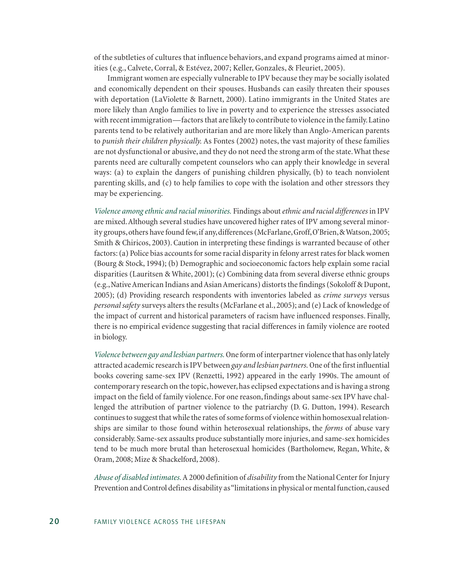of the subtleties of cultures that influence behaviors, and expand programs aimed at minorities (e.g., Calvete, Corral, & Estévez, 2007; Keller, Gonzales, & Fleuriet, 2005).

Immigrant women are especially vulnerable to IPV because they may be socially isolated and economically dependent on their spouses. Husbands can easily threaten their spouses with deportation (LaViolette & Barnett, 2000). Latino immigrants in the United States are more likely than Anglo families to live in poverty and to experience the stresses associated with recent immigration—factors that are likely to contribute to violence in the family. Latino parents tend to be relatively authoritarian and are more likely than Anglo-American parents to *punish their children physically.* As Fontes (2002) notes, the vast majority of these families are not dysfunctional or abusive, and they do not need the strong arm of the state. What these parents need are culturally competent counselors who can apply their knowledge in several ways: (a) to explain the dangers of punishing children physically, (b) to teach nonviolent parenting skills, and (c) to help families to cope with the isolation and other stressors they may be experiencing.

*Violence among ethnic and racial minorities.* Findings about *ethnic and racial differences* in IPV are mixed. Although several studies have uncovered higher rates of IPV among several minority groups, others have found few, if any, differences (McFarlane, Groff, O'Brien, & Watson, 2005; Smith & Chiricos, 2003). Caution in interpreting these findings is warranted because of other factors: (a) Police bias accounts for some racial disparity in felony arrest rates for black women (Bourg & Stock, 1994); (b) Demographic and socioeconomic factors help explain some racial disparities (Lauritsen & White, 2001); (c) Combining data from several diverse ethnic groups (e.g., Native American Indians and Asian Americans) distorts the findings (Sokoloff & Dupont, 2005); (d) Providing research respondents with inventories labeled as *crime surveys* versus *personal safety* surveys alters the results(McFarlane et al., 2005); and (e) Lack of knowledge of the impact of current and historical parameters of racism have influenced responses. Finally, there is no empirical evidence suggesting that racial differences in family violence are rooted in biology.

*Violence between gay and lesbian partners.* One form of interpartner violence that has only lately attracted academic research is IPV between *gay and lesbian partners.* One of the first influential books covering same-sex IPV (Renzetti, 1992) appeared in the early 1990s. The amount of contemporary research on the topic, however, has eclipsed expectations and is having a strong impact on the field of family violence. For one reason, findings about same-sex IPV have challenged the attribution of partner violence to the patriarchy (D. G. Dutton, 1994). Research continues to suggest that while the rates of some forms of violence within homosexual relationships are similar to those found within heterosexual relationships, the *forms* of abuse vary considerably. Same-sex assaults produce substantially more injuries, and same-sex homicides tend to be much more brutal than heterosexual homicides (Bartholomew, Regan, White, & Oram, 2008; Mize & Shackelford, 2008).

*Abuse of disabled intimates.* A 2000 definition of *disability* from the National Center for Injury Prevention and Control defines disability as "limitations in physical or mental function, caused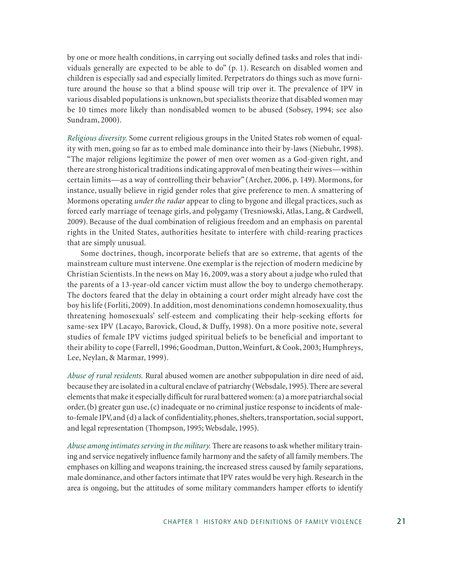by one or more health conditions, in carrying out socially defined tasks and roles that individuals generally are expected to be able to do" (p. 1). Research on disabled women and children is especially sad and especially limited. Perpetrators do things such as move furniture around the house so that a blind spouse will trip over it. The prevalence of IPV in various disabled populations is unknown, but specialists theorize that disabled women may be 10 times more likely than nondisabled women to be abused (Sobsey, 1994; see also Sundram, 2000).

*Religious diversity.* Some current religious groups in the United States rob women of equality with men, going so far as to embed male dominance into their by-laws (Niebuhr, 1998). "The major religions legitimize the power of men over women as a God-given right, and there are strong historical traditions indicating approval of men beating their wives—within certain limits—as a way of controlling their behavior" (Archer, 2006, p. 149). Mormons, for instance, usually believe in rigid gender roles that give preference to men. A smattering of Mormons operating *under the radar* appear to cling to bygone and illegal practices, such as forced early marriage of teenage girls, and polygamy (Tresniowski, Atlas, Lang, & Cardwell, 2009). Because of the dual combination of religious freedom and an emphasis on parental rights in the United States, authorities hesitate to interfere with child-rearing practices that are simply unusual.

Some doctrines, though, incorporate beliefs that are so extreme, that agents of the mainstream culture must intervene. One exemplar is the rejection of modern medicine by Christian Scientists. In the news on May 16, 2009, was a story about a judge who ruled that the parents of a 13-year-old cancer victim must allow the boy to undergo chemotherapy. The doctors feared that the delay in obtaining a court order might already have cost the boy his life (Forliti, 2009). In addition, most denominations condemn homosexuality, thus threatening homosexuals' self-esteem and complicating their help-seeking efforts for same-sex IPV (Lacayo, Barovick, Cloud, & Duffy, 1998). On a more positive note, several studies of female IPV victims judged spiritual beliefs to be beneficial and important to their ability to cope (Farrell, 1996; Goodman, Dutton, Weinfurt, & Cook, 2003; Humphreys, Lee, Neylan, & Marmar, 1999).

*Abuse of rural residents.* Rural abused women are another subpopulation in dire need of aid, because they are isolated in a cultural enclave of patriarchy (Websdale, 1995). There are several elements that make it especially difficult for rural battered women: (a) a more patriarchal social order, (b) greater gun use, (c) inadequate or no criminal justice response to incidents of maleto-female IPV, and (d) a lack of confidentiality, phones, shelters, transportation, social support, and legal representation (Thompson, 1995; Websdale, 1995).

*Abuse among intimates serving in the military.* There are reasons to ask whether military training and service negatively influence family harmony and the safety of all family members. The emphases on killing and weapons training, the increased stress caused by family separations, male dominance, and other factors intimate that IPV rates would be very high. Research in the area is ongoing, but the attitudes of some military commanders hamper efforts to identify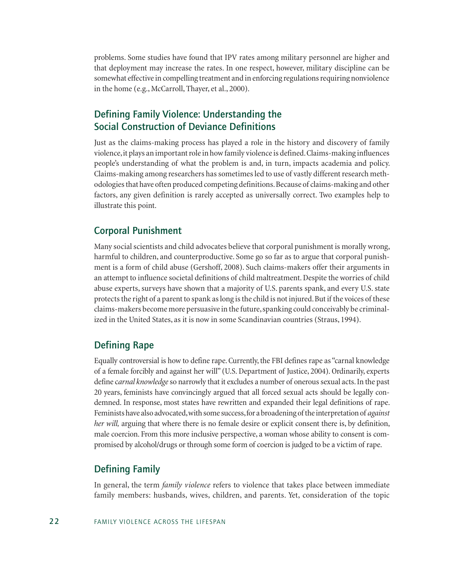problems. Some studies have found that IPV rates among military personnel are higher and that deployment may increase the rates. In one respect, however, military discipline can be somewhat effective in compelling treatment and in enforcing regulations requiring nonviolence in the home (e.g., McCarroll, Thayer, et al., 2000).

# Defining Family Violence: Understanding the Social Construction of Deviance Definitions

Just as the claims-making process has played a role in the history and discovery of family violence, it plays an important role in how family violence is defined. Claims-making influences people's understanding of what the problem is and, in turn, impacts academia and policy. Claims-making among researchers has sometimes led to use of vastly different research methodologies that have often produced competing definitions. Because of claims-making and other factors, any given definition is rarely accepted as universally correct. Two examples help to illustrate this point.

## Corporal Punishment

Many social scientists and child advocates believe that corporal punishment is morally wrong, harmful to children, and counterproductive. Some go so far as to argue that corporal punishment is a form of child abuse (Gershoff, 2008). Such claims-makers offer their arguments in an attempt to influence societal definitions of child maltreatment. Despite the worries of child abuse experts, surveys have shown that a majority of U.S. parents spank, and every U.S. state protects the right of a parent to spank as long is the child is not injured. But if the voices of these claims-makers become more persuasive in the future, spanking could conceivably be criminalized in the United States, as it is now in some Scandinavian countries (Straus, 1994).

## Defining Rape

Equally controversial is how to define rape. Currently, the FBI defines rape as "carnal knowledge of a female forcibly and against her will" (U.S. Department of Justice, 2004). Ordinarily, experts define c*arnal knowledge* so narrowly that it excludes a number of onerous sexual acts. In the past 20 years, feminists have convincingly argued that all forced sexual acts should be legally condemned. In response, most states have rewritten and expanded their legal definitions of rape. Feminists have also advocated, with some success, for a broadening of the interpretation of *against her will,* arguing that where there is no female desire or explicit consent there is, by definition, male coercion. From this more inclusive perspective, a woman whose ability to consent is compromised by alcohol/drugs or through some form of coercion is judged to be a victim of rape.

## Defining Family

In general, the term *family violence* refers to violence that takes place between immediate family members: husbands, wives, children, and parents. Yet, consideration of the topic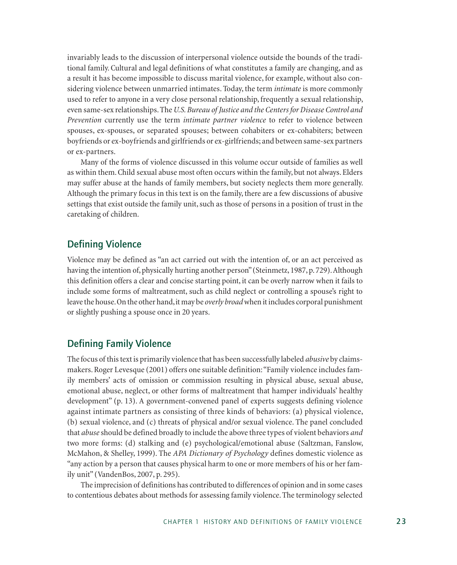invariably leads to the discussion of interpersonal violence outside the bounds of the traditional family. Cultural and legal definitions of what constitutes a family are changing, and as a result it has become impossible to discuss marital violence, for example, without also considering violence between unmarried intimates. Today, the term *intimate* is more commonly used to refer to anyone in a very close personal relationship, frequently a sexual relationship, even same-sex relationships. The *U.S. Bureau of Justice and the Centers for Disease Control and Prevention* currently use the term *intimate partner violence* to refer to violence between spouses, ex-spouses, or separated spouses; between cohabiters or ex-cohabiters; between boyfriends or ex-boyfriends and girlfriends or ex-girlfriends; and between same-sex partners or ex-partners.

Many of the forms of violence discussed in this volume occur outside of families as well as within them. Child sexual abuse most often occurs within the family, but not always. Elders may suffer abuse at the hands of family members, but society neglects them more generally. Although the primary focus in this text is on the family, there are a few discussions of abusive settings that exist outside the family unit, such as those of persons in a position of trust in the caretaking of children.

## Defining Violence

Violence may be defined as "an act carried out with the intention of, or an act perceived as having the intention of, physically hurting another person" (Steinmetz, 1987, p.729). Although this definition offers a clear and concise starting point, it can be overly narrow when it fails to include some forms of maltreatment, such as child neglect or controlling a spouse's right to leave the house. On the other hand, it may be *overly broad* when it includes corporal punishment or slightly pushing a spouse once in 20 years.

#### Defining Family Violence

The focus of this text is primarily violence that has been successfully labeled *abusive* by claimsmakers. Roger Levesque (2001) offers one suitable definition: "Family violence includes family members' acts of omission or commission resulting in physical abuse, sexual abuse, emotional abuse, neglect, or other forms of maltreatment that hamper individuals' healthy development" (p. 13). A government-convened panel of experts suggests defining violence against intimate partners as consisting of three kinds of behaviors: (a) physical violence, (b) sexual violence, and (c) threats of physical and/or sexual violence. The panel concluded that *abuse* should be defined broadly to include the above three types of violent behaviors *and* two more forms: (d) stalking and (e) psychological/emotional abuse (Saltzman, Fanslow, McMahon, & Shelley, 1999). The *APA Dictionary of Psychology* defines domestic violence as "any action by a person that causes physical harm to one or more members of his or her family unit" (VandenBos, 2007, p. 295).

The imprecision of definitions has contributed to differences of opinion and in some cases to contentious debates about methods for assessing family violence. The terminology selected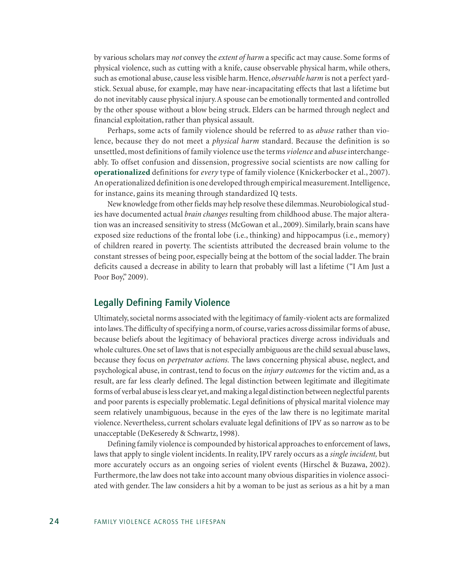by various scholars may *not* convey the *extent of harm* a specific act may cause. Some forms of physical violence, such as cutting with a knife, cause observable physical harm, while others, such as emotional abuse, cause less visible harm. Hence, *observable harm* is not a perfect yardstick. Sexual abuse, for example, may have near-incapacitating effects that last a lifetime but do not inevitably cause physical injury. A spouse can be emotionally tormented and controlled by the other spouse without a blow being struck. Elders can be harmed through neglect and financial exploitation, rather than physical assault.

Perhaps, some acts of family violence should be referred to as *abuse* rather than violence, because they do not meet a *physical harm* standard. Because the definition is so unsettled, most definitions of family violence use the terms *violence* and *abuse* interchangeably. To offset confusion and dissension, progressive social scientists are now calling for **operationalized** definitions for *every* type of family violence (Knickerbocker et al., 2007). An operationalized definition is one developed through empirical measurement. Intelligence, for instance, gains its meaning through standardized IQ tests.

New knowledge from other fields may help resolve these dilemmas. Neurobiological studies have documented actual *brain changes* resulting from childhood abuse. The major alteration was an increased sensitivity to stress (McGowan et al., 2009). Similarly, brain scans have exposed size reductions of the frontal lobe (i.e., thinking) and hippocampus (i.e., memory) of children reared in poverty. The scientists attributed the decreased brain volume to the constant stresses of being poor, especially being at the bottom of the social ladder. The brain deficits caused a decrease in ability to learn that probably will last a lifetime ("I Am Just a Poor Boy," 2009).

## Legally Defining Family Violence

Ultimately, societal norms associated with the legitimacy of family-violent acts are formalized into laws. The difficulty of specifying a norm, of course, varies across dissimilar forms of abuse, because beliefs about the legitimacy of behavioral practices diverge across individuals and whole cultures. One set of laws that is not especially ambiguous are the child sexual abuse laws, because they focus on *perpetrator actions.* The laws concerning physical abuse, neglect, and psychological abuse, in contrast, tend to focus on the *injury outcomes* for the victim and, as a result, are far less clearly defined. The legal distinction between legitimate and illegitimate forms of verbal abuse is less clear yet, and making a legal distinction between neglectful parents and poor parents is especially problematic. Legal definitions of physical marital violence may seem relatively unambiguous, because in the eyes of the law there is no legitimate marital violence. Nevertheless, current scholars evaluate legal definitions of IPV as so narrow as to be unacceptable (DeKeseredy & Schwartz, 1998).

Defining family violence is compounded by historical approaches to enforcement of laws, laws that apply to single violent incidents. In reality, IPV rarely occurs as a *single incident,* but more accurately occurs as an ongoing series of violent events (Hirschel & Buzawa, 2002). Furthermore, the law does not take into account many obvious disparities in violence associated with gender. The law considers a hit by a woman to be just as serious as a hit by a man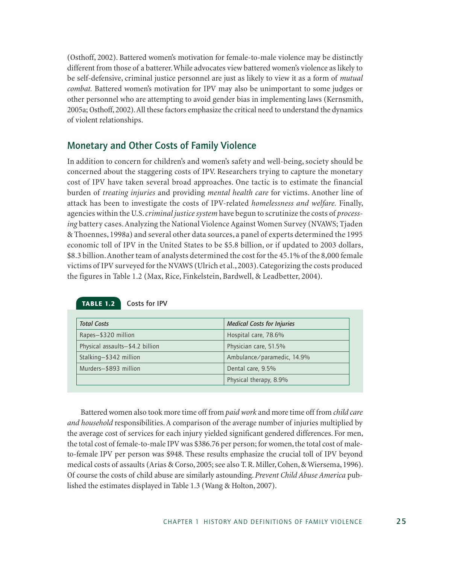(Osthoff, 2002). Battered women's motivation for female-to-male violence may be distinctly different from those of a batterer. While advocates view battered women's violence as likely to be self-defensive, criminal justice personnel are just as likely to view it as a form of *mutual combat.* Battered women's motivation for IPV may also be unimportant to some judges or other personnel who are attempting to avoid gender bias in implementing laws (Kernsmith, 2005a; Osthoff, 2002). All these factors emphasize the critical need to understand the dynamics of violent relationships.

### Monetary and Other Costs of Family Violence

In addition to concern for children's and women's safety and well-being, society should be concerned about the staggering costs of IPV. Researchers trying to capture the monetary cost of IPV have taken several broad approaches. One tactic is to estimate the financial burden of *treating injuries* and providing *mental health care* for victims. Another line of attack has been to investigate the costs of IPV-related *homelessness and welfare.* Finally, agencies within the U.S. *criminal justice system* have begun to scrutinize the costs of *processing* battery cases. Analyzing the National Violence Against Women Survey (NVAWS; Tjaden & Thoennes, 1998a) and several other data sources, a panel of experts determined the 1995 economic toll of IPV in the United States to be \$5.8 billion, or if updated to 2003 dollars, \$8.3 billion. Another team of analysts determined the cost for the 45.1% of the 8,000 female victims of IPV surveyed for the NVAWS (Ulrich et al., 2003). Categorizing the costs produced the figures in Table 1.2 (Max, Rice, Finkelstein, Bardwell, & Leadbetter, 2004).

#### TABLE 1.2 Costs for IPV

| <b>Total Costs</b>              | <b>Medical Costs for Injuries</b> |  |
|---------------------------------|-----------------------------------|--|
| Rapes-\$320 million             | Hospital care, 78.6%              |  |
| Physical assaults-\$4.2 billion | Physician care, 51.5%             |  |
| Stalking-\$342 million          | Ambulance/paramedic, 14.9%        |  |
| Murders-\$893 million           | Dental care, 9.5%                 |  |
|                                 | Physical therapy, 8.9%            |  |

Battered women also took more time off from *paid work* and more time off from *child care and household* responsibilities. A comparison of the average number of injuries multiplied by the average cost of services for each injury yielded significant gendered differences. For men, the total cost of female-to-male IPV was \$386.76 per person; for women, the total cost of maleto-female IPV per person was \$948. These results emphasize the crucial toll of IPV beyond medical costs of assaults (Arias & Corso, 2005; see also T. R. Miller, Cohen, & Wiersema, 1996). Of course the costs of child abuse are similarly astounding. *Prevent Child Abuse America* published the estimates displayed in Table 1.3 (Wang & Holton, 2007).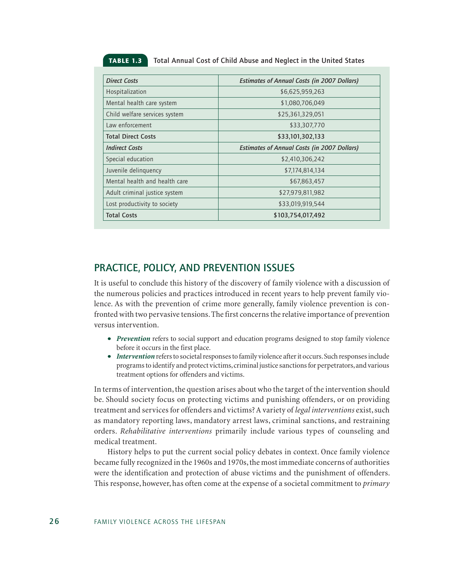| <b>Direct Costs</b>           | <b>Estimates of Annual Costs (in 2007 Dollars)</b> |  |
|-------------------------------|----------------------------------------------------|--|
| Hospitalization               | \$6,625,959,263                                    |  |
| Mental health care system     | \$1,080,706,049                                    |  |
| Child welfare services system | \$25,361,329,051                                   |  |
| Law enforcement               | \$33,307,770                                       |  |
| <b>Total Direct Costs</b>     | \$33,101,302,133                                   |  |
| <b>Indirect Costs</b>         | <b>Estimates of Annual Costs (in 2007 Dollars)</b> |  |
| Special education             | \$2,410,306,242                                    |  |
| Juvenile delinguency          | \$7,174,814,134                                    |  |
| Mental health and health care | \$67,863,457                                       |  |
| Adult criminal justice system | \$27,979,811,982                                   |  |
| Lost productivity to society  | \$33,019,919,544                                   |  |
| <b>Total Costs</b>            | \$103,754,017,492                                  |  |

#### TABLE 1.3 Total Annual Cost of Child Abuse and Neglect in the United States

# PRACTICE, POLICY, AND PREVENTION ISSUES

It is useful to conclude this history of the discovery of family violence with a discussion of the numerous policies and practices introduced in recent years to help prevent family violence. As with the prevention of crime more generally, family violence prevention is confronted with two pervasive tensions. The first concerns the relative importance of prevention versus intervention.

- *Prevention* refers to social support and education programs designed to stop family violence before it occurs in the first place.
- • *Intervention*refers to societal responses to family violence after it occurs. Such responses include programs to identify and protect victims, criminal justice sanctions for perpetrators, and various treatment options for offenders and victims.

In terms of intervention, the question arises about who the target of the intervention should be. Should society focus on protecting victims and punishing offenders, or on providing treatment and services for offenders and victims? A variety of *legal interventions* exist, such as mandatory reporting laws, mandatory arrest laws, criminal sanctions, and restraining orders. *Rehabilitative interventions* primarily include various types of counseling and medical treatment.

History helps to put the current social policy debates in context. Once family violence became fully recognized in the 1960s and 1970s, the most immediate concerns of authorities were the identification and protection of abuse victims and the punishment of offenders. This response, however, has often come at the expense of a societal commitment to *primary*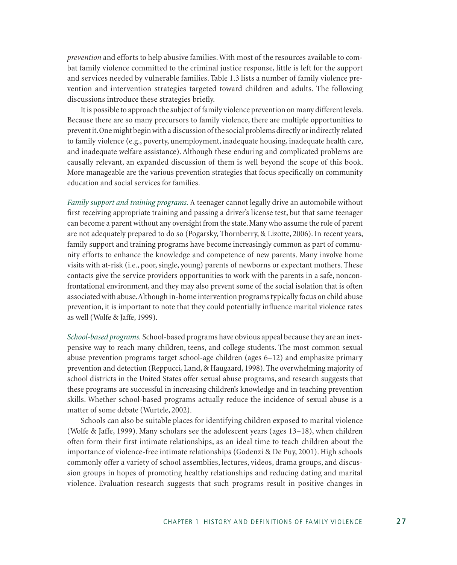*prevention* and efforts to help abusive families. With most of the resources available to combat family violence committed to the criminal justice response, little is left for the support and services needed by vulnerable families. Table 1.3 lists a number of family violence prevention and intervention strategies targeted toward children and adults. The following discussions introduce these strategies briefly.

It is possible to approach the subject of family violence prevention on many different levels. Because there are so many precursors to family violence, there are multiple opportunities to prevent it. One might begin with a discussion of the social problems directly or indirectly related to family violence (e.g., poverty, unemployment, inadequate housing, inadequate health care, and inadequate welfare assistance). Although these enduring and complicated problems are causally relevant, an expanded discussion of them is well beyond the scope of this book. More manageable are the various prevention strategies that focus specifically on community education and social services for families.

*Family support and training programs.* A teenager cannot legally drive an automobile without first receiving appropriate training and passing a driver's license test, but that same teenager can become a parent without any oversight from the state. Many who assume the role of parent are not adequately prepared to do so (Pogarsky, Thornberry, & Lizotte, 2006). In recent years, family support and training programs have become increasingly common as part of community efforts to enhance the knowledge and competence of new parents. Many involve home visits with at-risk (i.e., poor, single, young) parents of newborns or expectant mothers. These contacts give the service providers opportunities to work with the parents in a safe, nonconfrontational environment, and they may also prevent some of the social isolation that is often associated with abuse. Although in-home intervention programs typically focus on child abuse prevention, it is important to note that they could potentially influence marital violence rates as well (Wolfe & Jaffe, 1999).

*School-based programs.* School-based programs have obvious appeal because they are an inexpensive way to reach many children, teens, and college students. The most common sexual abuse prevention programs target school-age children (ages 6–12) and emphasize primary prevention and detection (Reppucci, Land, & Haugaard, 1998). The overwhelming majority of school districts in the United States offer sexual abuse programs, and research suggests that these programs are successful in increasing children's knowledge and in teaching prevention skills. Whether school-based programs actually reduce the incidence of sexual abuse is a matter of some debate (Wurtele, 2002).

Schools can also be suitable places for identifying children exposed to marital violence (Wolfe & Jaffe, 1999). Many scholars see the adolescent years (ages 13–18), when children often form their first intimate relationships, as an ideal time to teach children about the importance of violence-free intimate relationships (Godenzi & De Puy, 2001). High schools commonly offer a variety of school assemblies, lectures, videos, drama groups, and discussion groups in hopes of promoting healthy relationships and reducing dating and marital violence. Evaluation research suggests that such programs result in positive changes in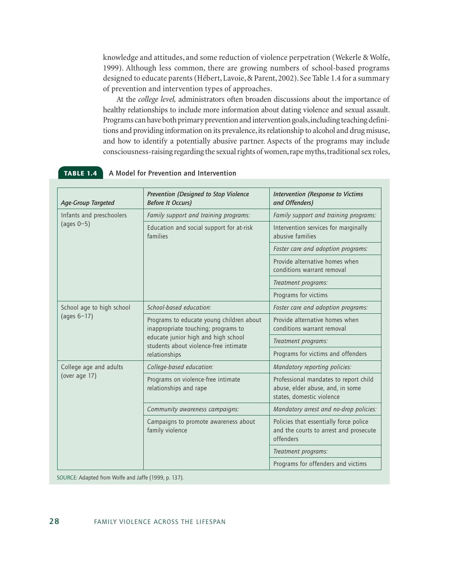knowledge and attitudes, and some reduction of violence perpetration (Wekerle & Wolfe, 1999). Although less common, there are growing numbers of school-based programs designed to educate parents (Hébert, Lavoie, & Parent, 2002). See Table 1.4 for a summary of prevention and intervention types of approaches.

At the *college level,* administrators often broaden discussions about the importance of healthy relationships to include more information about dating violence and sexual assault. Programs can have both primary prevention and intervention goals, including teaching definitions and providing information on its prevalence, its relationship to alcohol and drug misuse, and how to identify a potentially abusive partner. Aspects of the programs may include consciousness-raising regarding the sexual rights of women, rape myths, traditional sex roles,

| <b>Age-Group Targeted</b>                 | Prevention (Designed to Stop Violence<br><b>Before It Occurs)</b>                                                                                               | <b>Intervention (Response to Victims</b><br>and Offenders)                                             |
|-------------------------------------------|-----------------------------------------------------------------------------------------------------------------------------------------------------------------|--------------------------------------------------------------------------------------------------------|
| Infants and preschoolers<br>(ages $0-5$ ) | Family support and training programs:                                                                                                                           | Family support and training programs:                                                                  |
|                                           | Education and social support for at-risk<br>families                                                                                                            | Intervention services for marginally<br>abusive families                                               |
|                                           |                                                                                                                                                                 | Foster care and adoption programs:                                                                     |
|                                           |                                                                                                                                                                 | Provide alternative homes when<br>conditions warrant removal                                           |
|                                           |                                                                                                                                                                 | Treatment programs:                                                                                    |
|                                           |                                                                                                                                                                 | Programs for victims                                                                                   |
| School age to high school                 | School-based education:                                                                                                                                         | Foster care and adoption programs:                                                                     |
| (ages $6-17$ )                            | Programs to educate young children about<br>inappropriate touching; programs to<br>educate junior high and high school<br>students about violence-free intimate | Provide alternative homes when<br>conditions warrant removal                                           |
|                                           |                                                                                                                                                                 | Treatment programs:                                                                                    |
|                                           | relationships                                                                                                                                                   | Programs for victims and offenders                                                                     |
| College age and adults                    | College-based education:                                                                                                                                        | Mandatory reporting policies:                                                                          |
| (over age 17)                             | Programs on violence-free intimate<br>relationships and rape                                                                                                    | Professional mandates to report child<br>abuse, elder abuse, and, in some<br>states, domestic violence |
|                                           | Community awareness campaigns:                                                                                                                                  | Mandatory arrest and no-drop policies:                                                                 |
|                                           | Campaigns to promote awareness about<br>family violence                                                                                                         | Policies that essentially force police<br>and the courts to arrest and prosecute<br>offenders          |
|                                           |                                                                                                                                                                 | Treatment programs:                                                                                    |
|                                           |                                                                                                                                                                 | Programs for offenders and victims                                                                     |

#### TABLE 1.4 A Model for Prevention and Intervention

SOURCE: Adapted from Wolfe and Jaffe (1999, p. 137).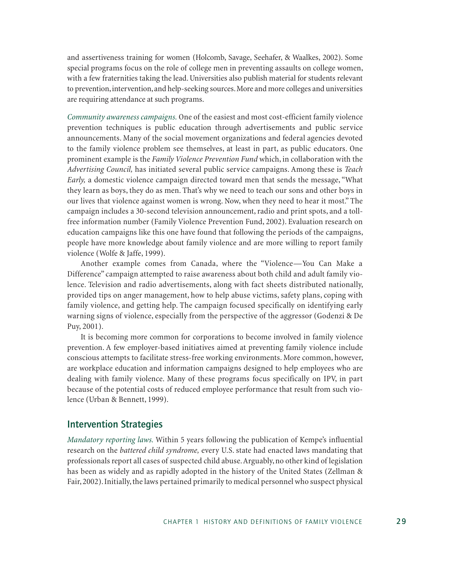and assertiveness training for women (Holcomb, Savage, Seehafer, & Waalkes, 2002). Some special programs focus on the role of college men in preventing assaults on college women, with a few fraternities taking the lead. Universities also publish material for students relevant to prevention, intervention, and help-seeking sources. More and more colleges and universities are requiring attendance at such programs.

*Community awareness campaigns.* One of the easiest and most cost-efficient family violence prevention techniques is public education through advertisements and public service announcements. Many of the social movement organizations and federal agencies devoted to the family violence problem see themselves, at least in part, as public educators. One prominent example is the *Family Violence Prevention Fund* which, in collaboration with the *Advertising Council,* has initiated several public service campaigns. Among these is *Teach Early,* a domestic violence campaign directed toward men that sends the message, "What they learn as boys, they do as men. That's why we need to teach our sons and other boys in our lives that violence against women is wrong. Now, when they need to hear it most." The campaign includes a 30-second television announcement, radio and print spots, and a tollfree information number (Family Violence Prevention Fund, 2002). Evaluation research on education campaigns like this one have found that following the periods of the campaigns, people have more knowledge about family violence and are more willing to report family violence (Wolfe & Jaffe, 1999).

Another example comes from Canada, where the "Violence—You Can Make a Difference" campaign attempted to raise awareness about both child and adult family violence. Television and radio advertisements, along with fact sheets distributed nationally, provided tips on anger management, how to help abuse victims, safety plans, coping with family violence, and getting help. The campaign focused specifically on identifying early warning signs of violence, especially from the perspective of the aggressor (Godenzi & De Puy, 2001).

It is becoming more common for corporations to become involved in family violence prevention. A few employer-based initiatives aimed at preventing family violence include conscious attempts to facilitate stress-free working environments. More common, however, are workplace education and information campaigns designed to help employees who are dealing with family violence. Many of these programs focus specifically on IPV, in part because of the potential costs of reduced employee performance that result from such violence (Urban & Bennett, 1999).

#### Intervention Strategies

*Mandatory reporting laws.* Within 5 years following the publication of Kempe's influential research on the *battered child syndrome,* every U.S. state had enacted laws mandating that professionals report all cases of suspected child abuse. Arguably, no other kind of legislation has been as widely and as rapidly adopted in the history of the United States (Zellman & Fair, 2002). Initially, the laws pertained primarily to medical personnel who suspect physical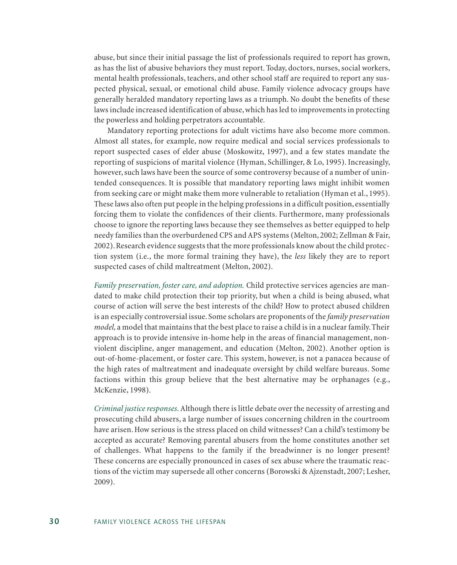abuse, but since their initial passage the list of professionals required to report has grown, as has the list of abusive behaviors they must report. Today, doctors, nurses, social workers, mental health professionals, teachers, and other school staff are required to report any suspected physical, sexual, or emotional child abuse. Family violence advocacy groups have generally heralded mandatory reporting laws as a triumph. No doubt the benefits of these laws include increased identification of abuse, which has led to improvements in protecting the powerless and holding perpetrators accountable.

Mandatory reporting protections for adult victims have also become more common. Almost all states, for example, now require medical and social services professionals to report suspected cases of elder abuse (Moskowitz, 1997), and a few states mandate the reporting of suspicions of marital violence (Hyman, Schillinger, & Lo, 1995). Increasingly, however, such laws have been the source of some controversy because of a number of unintended consequences. It is possible that mandatory reporting laws might inhibit women from seeking care or might make them more vulnerable to retaliation (Hyman et al., 1995). These laws also often put people in the helping professions in a difficult position, essentially forcing them to violate the confidences of their clients. Furthermore, many professionals choose to ignore the reporting laws because they see themselves as better equipped to help needy families than the overburdened CPS and APS systems (Melton, 2002; Zellman & Fair, 2002). Research evidence suggests that the more professionals know about the child protection system (i.e., the more formal training they have), the *less* likely they are to report suspected cases of child maltreatment (Melton, 2002).

*Family preservation, foster care, and adoption.* Child protective services agencies are mandated to make child protection their top priority, but when a child is being abused, what course of action will serve the best interests of the child? How to protect abused children is an especially controversial issue. Some scholars are proponents of the *family preservation model,* a model that maintains that the best place to raise a child is in a nuclear family. Their approach is to provide intensive in-home help in the areas of financial management, nonviolent discipline, anger management, and education (Melton, 2002). Another option is out-of-home-placement, or foster care. This system, however, is not a panacea because of the high rates of maltreatment and inadequate oversight by child welfare bureaus. Some factions within this group believe that the best alternative may be orphanages (e.g., McKenzie, 1998).

*Criminal justice responses.* Although there is little debate over the necessity of arresting and prosecuting child abusers, a large number of issues concerning children in the courtroom have arisen. How serious is the stress placed on child witnesses? Can a child's testimony be accepted as accurate? Removing parental abusers from the home constitutes another set of challenges. What happens to the family if the breadwinner is no longer present? These concerns are especially pronounced in cases of sex abuse where the traumatic reactions of the victim may supersede all other concerns (Borowski & Ajzenstadt, 2007; Lesher, 2009).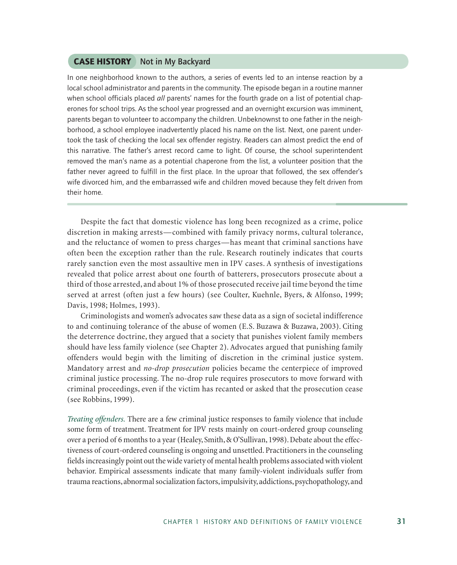#### **CASE HISTORY** Not in My Backyard

In one neighborhood known to the authors, a series of events led to an intense reaction by a local school administrator and parents in the community. The episode began in a routine manner when school officials placed *all* parents' names for the fourth grade on a list of potential chaperones for school trips. As the school year progressed and an overnight excursion was imminent, parents began to volunteer to accompany the children. Unbeknownst to one father in the neighborhood, a school employee inadvertently placed his name on the list. Next, one parent undertook the task of checking the local sex offender registry. Readers can almost predict the end of this narrative. The father's arrest record came to light. Of course, the school superintendent removed the man's name as a potential chaperone from the list, a volunteer position that the father never agreed to fulfill in the first place. In the uproar that followed, the sex offender's wife divorced him, and the embarrassed wife and children moved because they felt driven from their home.

Despite the fact that domestic violence has long been recognized as a crime, police discretion in making arrests—combined with family privacy norms, cultural tolerance, and the reluctance of women to press charges—has meant that criminal sanctions have often been the exception rather than the rule. Research routinely indicates that courts rarely sanction even the most assaultive men in IPV cases. A synthesis of investigations revealed that police arrest about one fourth of batterers, prosecutors prosecute about a third of those arrested, and about 1% of those prosecuted receive jail time beyond the time served at arrest (often just a few hours) (see Coulter, Kuehnle, Byers, & Alfonso, 1999; Davis, 1998; Holmes, 1993).

Criminologists and women's advocates saw these data as a sign of societal indifference to and continuing tolerance of the abuse of women (E.S. Buzawa & Buzawa, 2003). Citing the deterrence doctrine, they argued that a society that punishes violent family members should have less family violence (see Chapter 2). Advocates argued that punishing family offenders would begin with the limiting of discretion in the criminal justice system. Mandatory arrest and *no-drop prosecution* policies became the centerpiece of improved criminal justice processing. The no-drop rule requires prosecutors to move forward with criminal proceedings, even if the victim has recanted or asked that the prosecution cease (see Robbins, 1999).

*Treating offenders.* There are a few criminal justice responses to family violence that include some form of treatment. Treatment for IPV rests mainly on court-ordered group counseling over a period of 6 months to a year (Healey, Smith, & O'Sullivan, 1998). Debate about the effectiveness of court-ordered counseling is ongoing and unsettled. Practitioners in the counseling fields increasingly point out the wide variety of mental health problems associated with violent behavior. Empirical assessments indicate that many family-violent individuals suffer from trauma reactions, abnormal socialization factors, impulsivity, addictions, psychopathology, and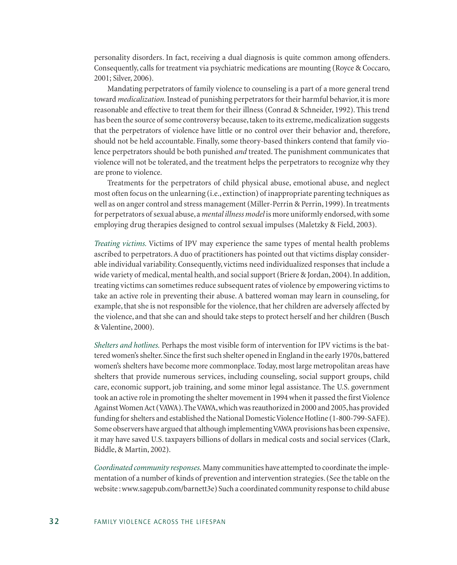personality disorders. In fact, receiving a dual diagnosis is quite common among offenders. Consequently, calls for treatment via psychiatric medications are mounting (Royce & Coccaro, 2001; Silver, 2006).

Mandating perpetrators of family violence to counseling is a part of a more general trend toward *medicalization.* Instead of punishing perpetrators for their harmful behavior, it is more reasonable and effective to treat them for their illness (Conrad & Schneider, 1992). This trend has been the source of some controversy because, taken to its extreme, medicalization suggests that the perpetrators of violence have little or no control over their behavior and, therefore, should not be held accountable. Finally, some theory-based thinkers contend that family violence perpetrators should be both punished *and* treated. The punishment communicates that violence will not be tolerated, and the treatment helps the perpetrators to recognize why they are prone to violence.

Treatments for the perpetrators of child physical abuse, emotional abuse, and neglect most often focus on the unlearning (i.e., extinction) of inappropriate parenting techniques as well as on anger control and stress management (Miller-Perrin & Perrin, 1999). In treatments for perpetrators of sexual abuse, a *mental illness model* is more uniformly endorsed, with some employing drug therapies designed to control sexual impulses (Maletzky & Field, 2003).

*Treating victims.* Victims of IPV may experience the same types of mental health problems ascribed to perpetrators. A duo of practitioners has pointed out that victims display considerable individual variability. Consequently, victims need individualized responses that include a wide variety of medical, mental health, and social support (Briere & Jordan, 2004). In addition, treating victims can sometimes reduce subsequent rates of violence by empowering victims to take an active role in preventing their abuse. A battered woman may learn in counseling, for example, that she is not responsible for the violence, that her children are adversely affected by the violence, and that she can and should take steps to protect herself and her children (Busch & Valentine, 2000).

*Shelters and hotlines.* Perhaps the most visible form of intervention for IPV victims is the battered women's shelter. Since the first such shelter opened in England in the early 1970s, battered women's shelters have become more commonplace. Today, most large metropolitan areas have shelters that provide numerous services, including counseling, social support groups, child care, economic support, job training, and some minor legal assistance. The U.S. government took an active role in promoting the shelter movement in 1994 when it passed the first Violence Against Women Act (VAWA). The VAWA, which was reauthorized in 2000 and 2005, has provided funding for shelters and established the National Domestic Violence Hotline (1-800-799-SAFE). Some observers have argued that although implementing VAWA provisions has been expensive, it may have saved U.S. taxpayers billions of dollars in medical costs and social services (Clark, Biddle, & Martin, 2002).

*Coordinated community responses.* Many communities have attempted to coordinate the implementation of a number of kinds of prevention and intervention strategies. (See the table on the website : www.sagepub.com/barnett3e) Such a coordinated community response to child abuse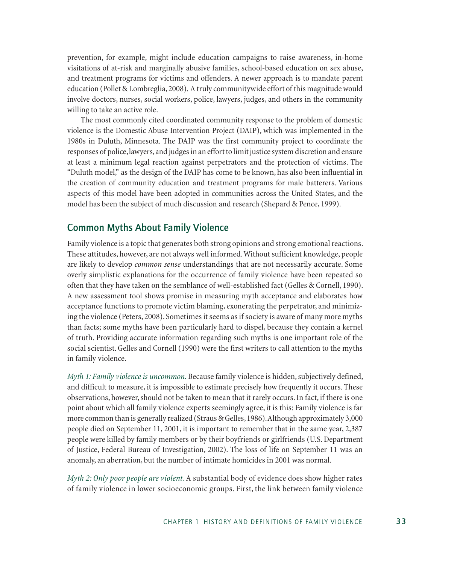prevention, for example, might include education campaigns to raise awareness, in-home visitations of at-risk and marginally abusive families, school-based education on sex abuse, and treatment programs for victims and offenders. A newer approach is to mandate parent education (Pollet & Lombreglia, 2008). A truly communitywide effort of this magnitude would involve doctors, nurses, social workers, police, lawyers, judges, and others in the community willing to take an active role.

The most commonly cited coordinated community response to the problem of domestic violence is the Domestic Abuse Intervention Project (DAIP), which was implemented in the 1980s in Duluth, Minnesota. The DAIP was the first community project to coordinate the responses of police, lawyers, and judges in an effort to limit justice system discretion and ensure at least a minimum legal reaction against perpetrators and the protection of victims. The "Duluth model," as the design of the DAIP has come to be known, has also been influential in the creation of community education and treatment programs for male batterers. Various aspects of this model have been adopted in communities across the United States, and the model has been the subject of much discussion and research (Shepard & Pence, 1999).

#### Common Myths About Family Violence

Family violence is a topic that generates both strong opinions and strong emotional reactions. These attitudes, however, are not always well informed. Without sufficient knowledge, people are likely to develop *common sense* understandings that are not necessarily accurate. Some overly simplistic explanations for the occurrence of family violence have been repeated so often that they have taken on the semblance of well-established fact (Gelles & Cornell, 1990). A new assessment tool shows promise in measuring myth acceptance and elaborates how acceptance functions to promote victim blaming, exonerating the perpetrator, and minimizing the violence (Peters, 2008). Sometimes it seems as if society is aware of many more myths than facts; some myths have been particularly hard to dispel, because they contain a kernel of truth. Providing accurate information regarding such myths is one important role of the social scientist. Gelles and Cornell (1990) were the first writers to call attention to the myths in family violence.

*Myth 1: Family violence is uncommon.* Because family violence is hidden, subjectively defined, and difficult to measure, it is impossible to estimate precisely how frequently it occurs. These observations, however, should not be taken to mean that it rarely occurs. In fact, if there is one point about which all family violence experts seemingly agree, it is this: Family violence is far more common than is generally realized (Straus & Gelles, 1986). Although approximately 3,000 people died on September 11, 2001, it is important to remember that in the same year, 2,387 people were killed by family members or by their boyfriends or girlfriends (U.S. Department of Justice, Federal Bureau of Investigation, 2002). The loss of life on September 11 was an anomaly, an aberration, but the number of intimate homicides in 2001 was normal.

*Myth 2: Only poor people are violent.* A substantial body of evidence does show higher rates of family violence in lower socioeconomic groups. First, the link between family violence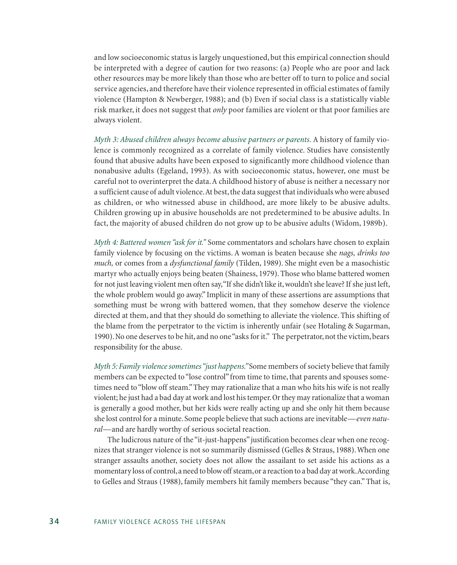and low socioeconomic status is largely unquestioned, but this empirical connection should be interpreted with a degree of caution for two reasons: (a) People who are poor and lack other resources may be more likely than those who are better off to turn to police and social service agencies, and therefore have their violence represented in official estimates of family violence (Hampton & Newberger, 1988); and (b) Even if social class is a statistically viable risk marker, it does not suggest that *only* poor families are violent or that poor families are always violent.

*Myth 3: Abused children always become abusive partners or parents.* A history of family violence is commonly recognized as a correlate of family violence. Studies have consistently found that abusive adults have been exposed to significantly more childhood violence than nonabusive adults (Egeland, 1993). As with socioeconomic status, however, one must be careful not to overinterpret the data. A childhood history of abuse is neither a necessary nor a sufficient cause of adult violence. At best, the data suggest that individuals who were abused as children, or who witnessed abuse in childhood, are more likely to be abusive adults. Children growing up in abusive households are not predetermined to be abusive adults. In fact, the majority of abused children do not grow up to be abusive adults (Widom, 1989b).

*Myth 4: Battered women "ask for it."* Some commentators and scholars have chosen to explain family violence by focusing on the victims. A woman is beaten because she *nags, drinks too much,* or comes from a *dysfunctional family* (Tilden, 1989). She might even be a masochistic martyr who actually enjoys being beaten (Shainess, 1979). Those who blame battered women for not just leaving violent men often say, "If she didn't like it, wouldn't she leave? If she just left, the whole problem would go away." Implicit in many of these assertions are assumptions that something must be wrong with battered women, that they somehow deserve the violence directed at them, and that they should do something to alleviate the violence. This shifting of the blame from the perpetrator to the victim is inherently unfair (see Hotaling & Sugarman, 1990). No one deserves to be hit, and no one "asks for it." The perpetrator, not the victim, bears responsibility for the abuse.

*Myth 5: Family violence sometimes "just happens."* Some members of society believe that family members can be expected to "lose control" from time to time, that parents and spouses sometimes need to "blow off steam." They may rationalize that a man who hits his wife is not really violent; he just had a bad day at work and lost his temper. Or they may rationalize that a woman is generally a good mother, but her kids were really acting up and she only hit them because she lost control for a minute. Some people believe that such actions are inevitable—*even natural*—and are hardly worthy of serious societal reaction.

The ludicrous nature of the "it-just-happens" justification becomes clear when one recognizes that stranger violence is not so summarily dismissed (Gelles & Straus, 1988). When one stranger assaults another, society does not allow the assailant to set aside his actions as a momentary loss of control, a need to blow off steam, or a reaction to a bad day at work. According to Gelles and Straus (1988), family members hit family members because "they can." That is,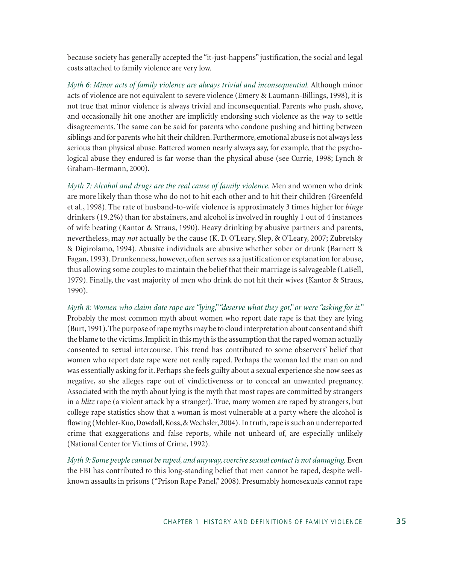because society has generally accepted the "it-just-happens" justification, the social and legal costs attached to family violence are very low.

*Myth 6: Minor acts of family violence are always trivial and inconsequential.* Although minor acts of violence are not equivalent to severe violence (Emery & Laumann-Billings, 1998), it is not true that minor violence is always trivial and inconsequential. Parents who push, shove, and occasionally hit one another are implicitly endorsing such violence as the way to settle disagreements. The same can be said for parents who condone pushing and hitting between siblings and for parents who hit their children. Furthermore, emotional abuse is not always less serious than physical abuse. Battered women nearly always say, for example, that the psychological abuse they endured is far worse than the physical abuse (see Currie, 1998; Lynch & Graham-Bermann, 2000).

*Myth 7: Alcohol and drugs are the real cause of family violence.* Men and women who drink are more likely than those who do not to hit each other and to hit their children (Greenfeld et al., 1998). The rate of husband-to-wife violence is approximately 3 times higher for *binge* drinkers (19.2%) than for abstainers, and alcohol is involved in roughly 1 out of 4 instances of wife beating (Kantor & Straus, 1990). Heavy drinking by abusive partners and parents, nevertheless, may *not* actually be the cause (K. D. O'Leary, Slep, & O'Leary, 2007; Zubretsky & Digirolamo, 1994). Abusive individuals are abusive whether sober or drunk (Barnett & Fagan, 1993). Drunkenness, however, often serves as a justification or explanation for abuse, thus allowing some couples to maintain the belief that their marriage is salvageable (LaBell, 1979). Finally, the vast majority of men who drink do not hit their wives (Kantor & Straus, 1990).

*Myth 8: Women who claim date rape are "lying," "deserve what they got," or were "asking for it."*  Probably the most common myth about women who report date rape is that they are lying (Burt, 1991). The purpose of rape myths may be to cloud interpretation about consent and shift the blame to the victims. Implicit in this myth is the assumption that the raped woman actually consented to sexual intercourse. This trend has contributed to some observers' belief that women who report date rape were not really raped. Perhaps the woman led the man on and was essentially asking for it. Perhaps she feels guilty about a sexual experience she now sees as negative, so she alleges rape out of vindictiveness or to conceal an unwanted pregnancy. Associated with the myth about lying is the myth that most rapes are committed by strangers in a *blitz* rape (a violent attack by a stranger). True, many women are raped by strangers, but college rape statistics show that a woman is most vulnerable at a party where the alcohol is flowing (Mohler-Kuo, Dowdall, Koss, & Wechsler, 2004). In truth, rape is such an underreported crime that exaggerations and false reports, while not unheard of, are especially unlikely (National Center for Victims of Crime, 1992).

*Myth 9: Some people cannot be raped, and anyway, coercive sexual contact is not damaging.* Even the FBI has contributed to this long-standing belief that men cannot be raped, despite wellknown assaults in prisons ("Prison Rape Panel," 2008). Presumably homosexuals cannot rape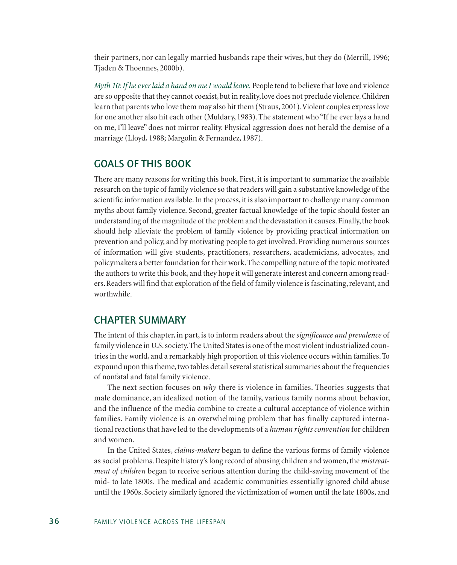their partners, nor can legally married husbands rape their wives, but they do (Merrill, 1996; Tjaden & Thoennes, 2000b).

*Myth 10: If he ever laid a hand on me I would leave.* People tend to believe that love and violence are so opposite that they cannot coexist, but in reality, love does not preclude violence. Children learn that parents who love them may also hit them (Straus, 2001). Violent couples express love for one another also hit each other (Muldary, 1983). The statement who "If he ever lays a hand on me, I'll leave" does not mirror reality. Physical aggression does not herald the demise of a marriage (Lloyd, 1988; Margolin & Fernandez, 1987).

#### GOALS OF THIS BOOK

There are many reasons for writing this book. First, it is important to summarize the available research on the topic of family violence so that readers will gain a substantive knowledge of the scientific information available. In the process, it is also important to challenge many common myths about family violence. Second, greater factual knowledge of the topic should foster an understanding of the magnitude of the problem and the devastation it causes. Finally, the book should help alleviate the problem of family violence by providing practical information on prevention and policy, and by motivating people to get involved. Providing numerous sources of information will give students, practitioners, researchers, academicians, advocates, and policymakers a better foundation for their work. The compelling nature of the topic motivated the authors to write this book, and they hope it will generate interest and concern among readers. Readers will find that exploration of the field of family violence is fascinating, relevant, and worthwhile.

### CHAPTER SUMMARY

The intent of this chapter, in part, is to inform readers about the *significance and prevalence* of family violence in U.S. society. The United States is one of the most violent industrialized countries in the world, and a remarkably high proportion of this violence occurs within families. To expound upon this theme, two tables detail several statistical summaries about the frequencies of nonfatal and fatal family violence.

The next section focuses on *why* there is violence in families. Theories suggests that male dominance, an idealized notion of the family, various family norms about behavior, and the influence of the media combine to create a cultural acceptance of violence within families. Family violence is an overwhelming problem that has finally captured international reactions that have led to the developments of a *human rights convention* for children and women.

In the United States, *claims-makers* began to define the various forms of family violence as social problems. Despite history's long record of abusing children and women, the *mistreatment of children* began to receive serious attention during the child-saving movement of the mid- to late 1800s. The medical and academic communities essentially ignored child abuse until the 1960s. Society similarly ignored the victimization of women until the late 1800s, and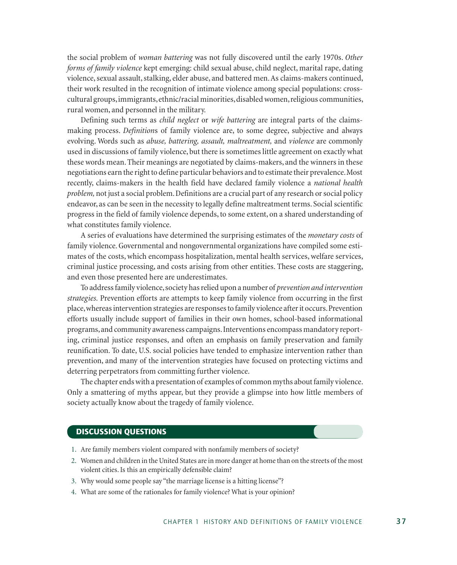the social problem of *woman battering* was not fully discovered until the early 1970s. *Other forms of family violence* kept emerging: child sexual abuse, child neglect, marital rape, dating violence, sexual assault, stalking, elder abuse, and battered men. As claims-makers continued, their work resulted in the recognition of intimate violence among special populations: crosscultural groups, immigrants, ethnic/racial minorities, disabled women, religious communities, rural women, and personnel in the military.

Defining such terms as *child neglect* or *wife battering* are integral parts of the claimsmaking process. *Definition*s of family violence are, to some degree, subjective and always evolving. Words such as *abuse, battering, assault, maltreatment,* and *violence* are commonly used in discussions of family violence, but there is sometimes little agreement on exactly what these words mean. Their meanings are negotiated by claims-makers, and the winners in these negotiations earn the right to define particular behaviors and to estimate their prevalence. Most recently, claims-makers in the health field have declared family violence a *national health problem,* not just a social problem. Definitions are a crucial part of any research or social policy endeavor, as can be seen in the necessity to legally define maltreatment terms. Social scientific progress in the field of family violence depends, to some extent, on a shared understanding of what constitutes family violence.

A series of evaluations have determined the surprising estimates of the *monetary costs* of family violence. Governmental and nongovernmental organizations have compiled some estimates of the costs, which encompass hospitalization, mental health services, welfare services, criminal justice processing, and costs arising from other entities. These costs are staggering, and even those presented here are underestimates.

To address family violence, society has relied upon a number of *prevention and intervention strategies.* Prevention efforts are attempts to keep family violence from occurring in the first place, whereas intervention strategies are responses to family violence after it occurs. Prevention efforts usually include support of families in their own homes, school-based informational programs, and community awareness campaigns. Interventions encompass mandatory reporting, criminal justice responses, and often an emphasis on family preservation and family reunification. To date, U.S. social policies have tended to emphasize intervention rather than prevention, and many of the intervention strategies have focused on protecting victims and deterring perpetrators from committing further violence.

The chapter ends with a presentation of examples of common myths about family violence. Only a smattering of myths appear, but they provide a glimpse into how little members of society actually know about the tragedy of family violence.

#### DISCUSSION QUESTIONS

- 1. Are family members violent compared with nonfamily members of society?
- 2. Women and children in the United States are in more danger at home than on the streets of the most violent cities. Is this an empirically defensible claim?
- 3. Why would some people say "the marriage license is a hitting license"?
- 4. What are some of the rationales for family violence? What is your opinion?